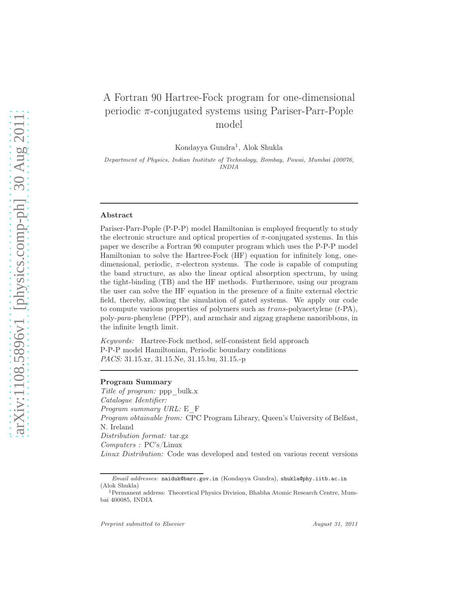# A Fortran 90 Hartree-Fock program for one-dimensional periodic  $\pi$ -conjugated systems using Pariser-Parr-Pople model

Kondayya Gundra<sup>1</sup>, Alok Shukla

Department of Physics, Indian Institute of Technology, Bombay, Powai, Mumbai 400076, INDIA

#### Abstract

Pariser-Parr-Pople (P-P-P) model Hamiltonian is employed frequently to study the electronic structure and optical properties of  $\pi$ -conjugated systems. In this paper we describe a Fortran 90 computer program which uses the P-P-P model Hamiltonian to solve the Hartree-Fock (HF) equation for infinitely long, onedimensional, periodic,  $\pi$ -electron systems. The code is capable of computing the band structure, as also the linear optical absorption spectrum, by using the tight-binding (TB) and the HF methods. Furthermore, using our program the user can solve the HF equation in the presence of a finite external electric field, thereby, allowing the simulation of gated systems. We apply our code to compute various properties of polymers such as  $trans-polyacetylene(t-PA)$ , poly-*para*-phenylene (PPP), and armchair and zigzag graphene nanoribbons, in the infinite length limit.

*Keywords:* Hartree-Fock method, self-consistent field approach P-P-P model Hamiltonian, Periodic boundary conditions *PACS:* 31.15.xr, 31.15.Ne, 31.15.bu, 31.15.-p

#### Program Summary

*Title of program:* ppp\_bulk.x *Catalogue Identifier: Program summary URL:* E\_F *Program obtainable from:* CPC Program Library, Queen's University of Belfast, N. Ireland *Distribution format:* tar.gz *Computers :* PC's/Linux *Linux Distribution:* Code was developed and tested on various recent versions

Email addresses: naiduk@barc.gov.in (Kondayya Gundra), shukla@phy.iitb.ac.in (Alok Shukla)

<sup>1</sup>Permanent address: Theoretical Physics Division, Bhabha Atomic Research Centre, Mumbai 400085, INDIA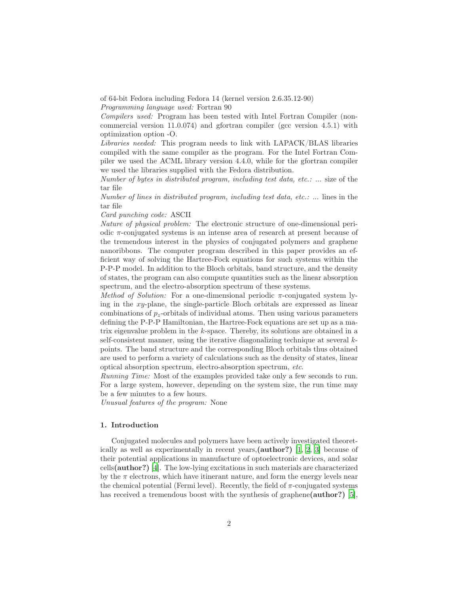of 64-bit Fedora including Fedora 14 (kernel version 2.6.35.12-90) *Programming language used:* Fortran 90

*Compilers used:* Program has been tested with Intel Fortran Compiler (noncommercial version 11.0.074) and gfortran compiler (gcc version 4.5.1) with optimization option -O.

*Libraries needed:* This program needs to link with LAPACK/BLAS libraries compiled with the same compiler as the program. For the Intel Fortran Compiler we used the ACML library version 4.4.0, while for the gfortran compiler we used the libraries supplied with the Fedora distribution.

*Number of bytes in distributed program, including test data, etc.:* ... size of the tar file

*Number of lines in distributed program, including test data, etc.:* ... lines in the tar file

*Card punching code:* ASCII

*Nature of physical problem:* The electronic structure of one-dimensional periodic π-conjugated systems is an intense area of research at present because of the tremendous interest in the physics of conjugated polymers and graphene nanoribbons. The computer program described in this paper provides an efficient way of solving the Hartree-Fock equations for such systems within the P-P-P model. In addition to the Bloch orbitals, band structure, and the density of states, the program can also compute quantities such as the linear absorption spectrum, and the electro-absorption spectrum of these systems.

*Method of Solution:* For a one-dimensional periodic  $\pi$ -conjugated system lying in the xy-plane, the single-particle Bloch orbitals are expressed as linear combinations of  $p_z$ -orbitals of individual atoms. Then using various parameters defining the P-P-P Hamiltonian, the Hartree-Fock equations are set up as a matrix eigenvalue problem in the k-space. Thereby, its solutions are obtained in a self-consistent manner, using the iterative diagonalizing technique at several kpoints. The band structure and the corresponding Bloch orbitals thus obtained are used to perform a variety of calculations such as the density of states, linear optical absorption spectrum, electro-absorption spectrum, *etc*.

*Running Time:* Most of the examples provided take only a few seconds to run. For a large system, however, depending on the system size, the run time may be a few minutes to a few hours.

*Unusual features of the program:* None

# 1. Introduction

Conjugated molecules and polymers have been actively investigated theoretically as well as experimentally in recent years,(author?) [\[1](#page-29-0), [2,](#page-29-1) [3](#page-29-2)] because of their potential applications in manufacture of optoelectronic devices, and solar cells(author?) [\[4\]](#page-29-3). The low-lying excitations in such materials are characterized by the  $\pi$  electrons, which have itinerant nature, and form the energy levels near the chemical potential (Fermi level). Recently, the field of  $\pi$ -conjugated systems has received a tremendous boost with the synthesis of graphene(**author**?) [\[5\]](#page-29-4),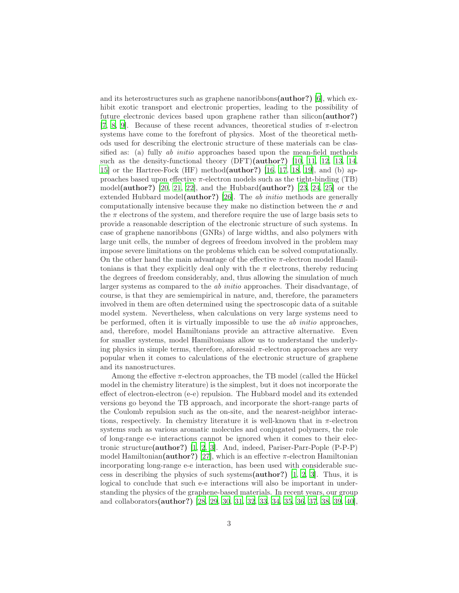and its heterostructures such as graphene nanoribbons(author?) [\[6\]](#page-29-5), which exhibit exotic transport and electronic properties, leading to the possibility of future electronic devices based upon graphene rather than silicon(author?) [\[7,](#page-29-6) [8,](#page-29-7) [9](#page-29-8)]. Because of these recent advances, theoretical studies of  $\pi$ -electron systems have come to the forefront of physics. Most of the theoretical methods used for describing the electronic structure of these materials can be classified as: (a) fully *ab initio* approaches based upon the mean-field methods such as the density-functional theory (DFT)(author?) [\[10,](#page-29-9) [11,](#page-29-10) [12,](#page-29-11) [13,](#page-29-12) [14,](#page-30-0) [15\]](#page-30-1) or the Hartree-Fock (HF) method(author?) [\[16,](#page-30-2) [17,](#page-30-3) [18](#page-30-4), [19](#page-30-5)], and (b) approaches based upon effective  $\pi$ -electron models such as the tight-binding (TB) model(author?) [\[20,](#page-30-6) [21,](#page-30-7) [22](#page-30-8)], and the Hubbard(author?) [\[23,](#page-30-9) [24,](#page-30-10) [25\]](#page-30-11) or the extended Hubbard model(author?) [\[26\]](#page-30-12). The *ab initio* methods are generally computationally intensive because they make no distinction between the  $\sigma$  and the  $\pi$  electrons of the system, and therefore require the use of large basis sets to provide a reasonable description of the electronic structure of such systems. In case of graphene nanoribbons (GNRs) of large widths, and also polymers with large unit cells, the number of degrees of freedom involved in the problem may impose severe limitations on the problems which can be solved computationally. On the other hand the main advantage of the effective  $\pi$ -electron model Hamiltonians is that they explicitly deal only with the  $\pi$  electrons, thereby reducing the degrees of freedom considerably, and, thus allowing the simulation of much larger systems as compared to the *ab initio* approaches. Their disadvantage, of course, is that they are semiempirical in nature, and, therefore, the parameters involved in them are often determined using the spectroscopic data of a suitable model system. Nevertheless, when calculations on very large systems need to be performed, often it is virtually impossible to use the *ab initio* approaches, and, therefore, model Hamiltonians provide an attractive alternative. Even for smaller systems, model Hamiltonians allow us to understand the underlying physics in simple terms, therefore, aforesaid  $\pi$ -electron approaches are very popular when it comes to calculations of the electronic structure of graphene and its nanostructures.

Among the effective  $\pi$ -electron approaches, the TB model (called the Hückel model in the chemistry literature) is the simplest, but it does not incorporate the effect of electron-electron (e-e) repulsion. The Hubbard model and its extended versions go beyond the TB approach, and incorporate the short-range parts of the Coulomb repulsion such as the on-site, and the nearest-neighbor interactions, respectively. In chemistry literature it is well-known that in  $\pi$ -electron systems such as various aromatic molecules and conjugated polymers, the role of long-range e-e interactions cannot be ignored when it comes to their electronic structure(author?) [\[1,](#page-29-0) [2,](#page-29-1) [3](#page-29-2)]. And, indeed, Pariser-Parr-Pople (P-P-P) model Hamiltonian(author?) [\[27\]](#page-30-13), which is an effective  $\pi$ -electron Hamiltonian incorporating long-range e-e interaction, has been used with considerable success in describing the physics of such systems(author?) [\[1,](#page-29-0) [2,](#page-29-1) [3](#page-29-2)]. Thus, it is logical to conclude that such e-e interactions will also be important in understanding the physics of the graphene-based materials. In recent years, our group and collaborators(author?) [\[28,](#page-30-14) [29,](#page-30-15) [30,](#page-30-16) [31,](#page-30-17) [32,](#page-30-18) [33,](#page-30-19) [34,](#page-31-0) [35,](#page-31-1) [36](#page-31-2), [37,](#page-31-3) [38](#page-31-4), [39,](#page-31-5) [40](#page-31-6)],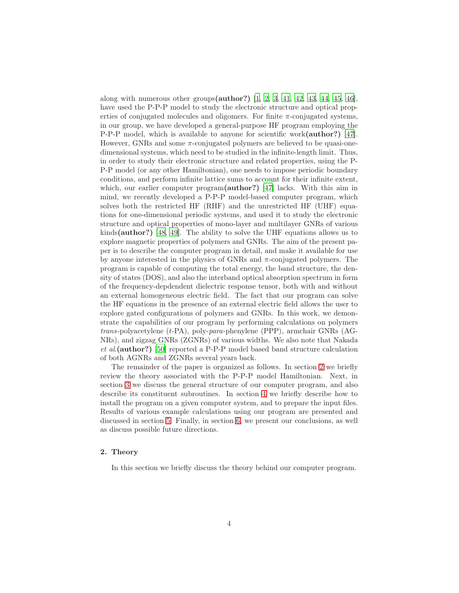along with numerous other groups( $\text{author?}$ ) [\[1](#page-29-0), [2](#page-29-1), [3](#page-29-2), [41](#page-31-7), [42](#page-31-8), [43](#page-31-9), [44](#page-31-10), [45](#page-31-11), [46](#page-31-12)], have used the P-P-P model to study the electronic structure and optical properties of conjugated molecules and oligomers. For finite  $\pi$ -conjugated systems, in our group, we have developed a general-purpose HF program employing the P-P-P model, which is available to anyone for scientific work(author?) [\[47\]](#page-31-13). However, GNRs and some  $\pi$ -conjugated polymers are believed to be quasi-onedimensional systems, which need to be studied in the infinite-length limit. Thus, in order to study their electronic structure and related properties, using the P-P-P model (or any other Hamiltonian), one needs to impose periodic boundary conditions, and perform infinite lattice sums to account for their infinite extent, which, our earlier computer program(**author?**) [\[47](#page-31-13)] lacks. With this aim in mind, we recently developed a P-P-P model-based computer program, which solves both the restricted HF (RHF) and the unrestricted HF (UHF) equations for one-dimensional periodic systems, and used it to study the electronic structure and optical properties of mono-layer and multilayer GNRs of various kinds(author?) [\[48,](#page-31-14) [49](#page-31-15)]. The ability to solve the UHF equations allows us to explore magnetic properties of polymers and GNRs. The aim of the present paper is to describe the computer program in detail, and make it available for use by anyone interested in the physics of GNRs and  $\pi$ -conjugated polymers. The program is capable of computing the total energy, the band structure, the density of states (DOS), and also the interband optical absorption spectrum in form of the frequency-depdendent dielectric response tensor, both with and without an external homogeneous electric field. The fact that our program can solve the HF equations in the presence of an external electric field allows the user to explore gated configurations of polymers and GNRs. In this work, we demonstrate the capabilities of our program by performing calculations on polymers *trans*-polyacetylene (t-PA), poly-*para*-phenylene (PPP), armchair GNRs (AG-NRs), and zigzag GNRs (ZGNRs) of various widths. We also note that Nakada *et al*.(author?) [\[50\]](#page-31-16) reported a P-P-P model based band structure calculation of both AGNRs and ZGNRs several years back.

The remainder of the paper is organized as follows. In section [2](#page-3-0) we briefly review the theory associated with the P-P-P model Hamiltonian. Next, in section [3](#page-9-0) we discuss the general structure of our computer program, and also describe its constituent subroutines. In section [4](#page-16-0) we briefly describe how to install the program on a given computer system, and to prepare the input files. Results of various example calculations using our program are presented and discussed in section [5.](#page-16-1) Finally, in section [6,](#page-28-0) we present our conclusions, as well as discuss possible future directions.

# <span id="page-3-0"></span>2. Theory

In this section we briefly discuss the theory behind our computer program.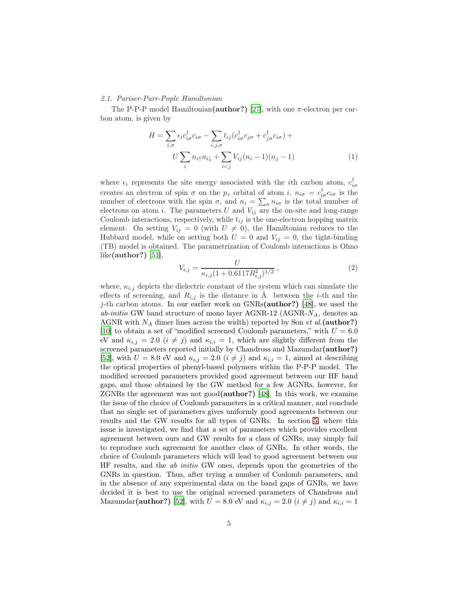#### <span id="page-4-0"></span>*2.1. Pariser-Parr-Pople Hamiltonian*

The P-P-P model Hamiltonian( $\alpha$ uthor?) [\[27\]](#page-30-13), with one  $\pi$ -electron per carbon atom, is given by

<span id="page-4-1"></span>
$$
H = \sum_{i,\sigma} \epsilon_i c_{i\sigma}^\dagger c_{i\sigma} - \sum_{i,j,\sigma} t_{ij} (c_{i\sigma}^\dagger c_{j\sigma} + c_{j\sigma}^\dagger c_{i\sigma}) +
$$
  

$$
U \sum_i n_{i\uparrow} n_{i\downarrow} + \sum_{i (1)
$$

where  $\epsilon_i$  represents the site energy associated with the *i*th carbon atom,  $c_{i\sigma}^{\dagger}$ creates an electron of spin  $\sigma$  on the  $p_z$  orbital of atom i,  $n_{i\sigma} = c_{i\sigma}^{\dagger} c_{i\sigma}$  is the number of electrons with the spin  $\sigma$ , and  $n_i = \sum_{\sigma} n_{i\sigma}$  is the total number of electrons on atom i. The parameters  $U$  and  $V_{ij}$  are the on-site and long-range Coulomb interactions, respectively, while  $t_{ij}$  is the one-electron hopping matrix element. On setting  $V_{ij} = 0$  (with  $U \neq 0$ ), the Hamiltonian reduces to the Hubbard model, while on setting both  $U = 0$  and  $V_{ij} = 0$ , the tight-binding (TB) model is obtained. The parametrization of Coulomb interactions is Ohno like(author?) [\[51](#page-31-17)],

<span id="page-4-2"></span>
$$
V_{i,j} = \frac{U}{\kappa_{i,j}(1 + 0.6117R_{i,j}^2)^{1/2}}\,,\tag{2}
$$

where,  $\kappa_{i,j}$  depicts the dielectric constant of the system which can simulate the effects of screening, and  $R_{i,j}$  is the distance in Å between the *i*-th and the j-th carbon atoms. In our earlier work on GNRs( $\alpha$ uthor?) [\[48\]](#page-31-14), we used the *ab-initio* GW band structure of mono layer AGNR-12 (AGNR-NA, denotes an AGNR with  $N_A$  dimer lines across the width) reported by Son  $et$   $al$ . (author?) [\[10\]](#page-29-9) to obtain a set of "modified screened Coulomb parameters," with  $U = 6.0$ eV and  $\kappa_{i,j} = 2.0$   $(i \neq j)$  and  $\kappa_{i,i} = 1$ , which are slightly different from the screened parameters reported initially by Chandross and Mazumdar(author?) [\[52\]](#page-31-18), with  $U = 8.0$  eV and  $\kappa_{i,j} = 2.0$   $(i \neq j)$  and  $\kappa_{i,i} = 1$ , aimed at describing the optical properties of phenyl-based polymers within the P-P-P model. The modified screened parameters provided good agreement between our HF band gaps, and those obtained by the GW method for a few AGNRs, however, for ZGNRs the agreement was not good(author?) [\[48](#page-31-14)]. In this work, we examine the issue of the choice of Coulomb parameters in a critical manner, and conclude that no single set of parameters gives uniformly good agreements between our results and the GW results for all types of GNRs. In section [5,](#page-16-1) where this issue is investigated, we find that a set of parameters which provides excellent agreement between ours and GW results for a class of GNRs, may simply fail to reproduce such agreement for another class of GNRs. In other words, the choice of Coulomb parameters which will lead to good agreement between our HF results, and the *ab initio* GW ones, depends upon the geometries of the GNRs in question. Thus, after trying a number of Coulomb parameters, and in the absence of any experimental data on the band gaps of GNRs, we have decided it is best to use the original screened parameters of Chandross and Mazumdar(author?) [\[52](#page-31-18)], with  $U = 8.0$  eV and  $\kappa_{i,j} = 2.0$   $(i \neq j)$  and  $\kappa_{i,i} = 1$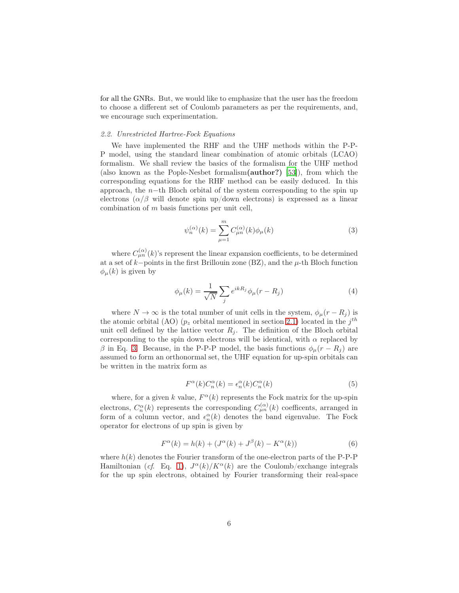for all the GNRs. But, we would like to emphasize that the user has the freedom to choose a different set of Coulomb parameters as per the requirements, and, we encourage such experimentation.

## *2.2. Unrestricted Hartree-Fock Equations*

We have implemented the RHF and the UHF methods within the P-P-P model, using the standard linear combination of atomic orbitals (LCAO) formalism. We shall review the basics of the formalism for the UHF method (also known as the Pople-Nesbet formalism(author?) [\[53](#page-31-19)]), from which the corresponding equations for the RHF method can be easily deduced. In this approach, the  $n$ -th Bloch orbital of the system corresponding to the spin up electrons  $(\alpha/\beta$  will denote spin up/down electrons) is expressed as a linear combination of m basis functions per unit cell,

<span id="page-5-0"></span>
$$
\psi_n^{(\alpha)}(k) = \sum_{\mu=1}^m C_{\mu n}^{(\alpha)}(k)\phi_\mu(k)
$$
\n(3)

where  $C_{\mu n}^{(\alpha)}(k)$ 's represent the linear expansion coefficients, to be determined at a set of  $k$ −points in the first Brillouin zone (BZ), and the  $\mu$ -th Bloch function  $\phi_{\mu}(k)$  is given by

$$
\phi_{\mu}(k) = \frac{1}{\sqrt{N}} \sum_{j} e^{ikR_j} \phi_{\mu}(r - R_j)
$$
\n(4)

where  $N \to \infty$  is the total number of unit cells in the system,  $\phi_{\mu}(r - R_j)$  is the atomic orbital (AO)  $(p_z \text{ orbital mentioned in section 2.1})$  located in the  $j^{th}$ unit cell defined by the lattice vector  $R_i$ . The definition of the Bloch orbital corresponding to the spin down electrons will be identical, with  $\alpha$  replaced by β in Eq. [3.](#page-5-0) Because, in the P-P-P model, the basis functions  $φ<sub>μ</sub>(r - R<sub>i</sub>)$  are assumed to form an orthonormal set, the UHF equation for up-spin orbitals can be written in the matrix form as

<span id="page-5-1"></span>
$$
F^{\alpha}(k)C_n^{\alpha}(k) = \epsilon_n^{\alpha}(k)C_n^{\alpha}(k)
$$
\n(5)

where, for a given k value,  $F^{\alpha}(k)$  represents the Fock matrix for the up-spin electrons,  $C_n^{\alpha}(k)$  represents the corresponding  $C_{\mu n}^{(\alpha)}(k)$  coefficents, arranged in form of a column vector, and  $\epsilon_n^{\alpha}(k)$  denotes the band eigenvalue. The Fock operator for electrons of up spin is given by

$$
F^{\alpha}(k) = h(k) + (J^{\alpha}(k) + J^{\beta}(k) - K^{\alpha}(k))
$$
\n(6)

where  $h(k)$  denotes the Fourier transform of the one-electron parts of the P-P-P Hamiltonian (*cf.* Eq. [1\)](#page-4-1),  $J^{\alpha}(k)/K^{\alpha}(k)$  are the Coulomb/exchange integrals for the up spin electrons, obtained by Fourier transforming their real-space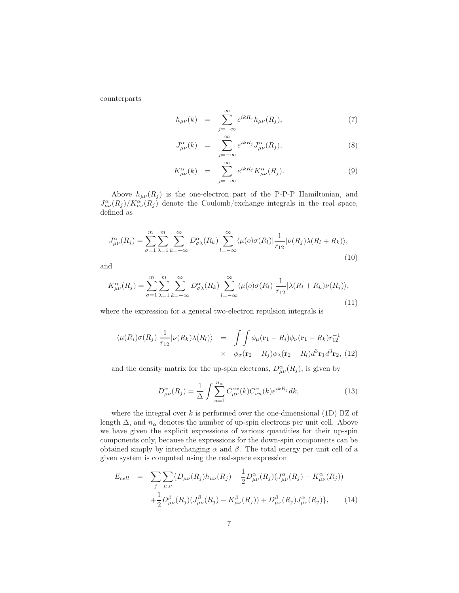counterparts

$$
h_{\mu\nu}(k) = \sum_{j=-\infty}^{\infty} e^{ikR_j} h_{\mu\nu}(R_j), \tag{7}
$$

$$
J^{\alpha}_{\mu\nu}(k) = \sum_{j=-\infty}^{\infty} e^{ikR_j} J^{\alpha}_{\mu\nu}(R_j), \qquad (8)
$$

$$
K^{\alpha}_{\mu\nu}(k) = \sum_{j=-\infty}^{\infty} e^{ikR_j} K^{\alpha}_{\mu\nu}(R_j).
$$
 (9)

Above  $h_{\mu\nu}(R_i)$  is the one-electron part of the P-P-P Hamiltonian, and  $J^{\alpha}_{\mu\nu}(R_j)/K^{\alpha}_{\mu\nu}(R_j)$  denote the Coulomb/exchange integrals in the real space, defined as

<span id="page-6-0"></span>
$$
J_{\mu\nu}^{\alpha}(R_j) = \sum_{\sigma=1}^{m} \sum_{\lambda=1}^{m} \sum_{k=-\infty}^{\infty} D_{\sigma\lambda}^{\alpha}(R_k) \sum_{l=-\infty}^{\infty} \langle \mu(o)\sigma(R_l)| \frac{1}{r_{12}} | \nu(R_j)\lambda(R_l + R_k) \rangle, \tag{10}
$$

and

<span id="page-6-1"></span>
$$
K_{\mu\nu}^{\alpha}(R_j) = \sum_{\sigma=1}^{m} \sum_{\lambda=1}^{m} \sum_{k=-\infty}^{\infty} D_{\sigma\lambda}^{\alpha}(R_k) \sum_{l=-\infty}^{\infty} \langle \mu(o)\sigma(R_l) | \frac{1}{r_{12}} | \lambda(R_l + R_k)\nu(R_j) \rangle, \tag{11}
$$

where the expression for a general two-electron repulsion integrals is

$$
\langle \mu(R_i)\sigma(R_j)|\frac{1}{r_{12}}|\nu(R_k)\lambda(R_l)\rangle = \int \int \phi_\mu(\mathbf{r}_1 - R_i)\phi_\nu(\mathbf{r}_1 - R_k)r_{12}^{-1}
$$
  
 
$$
\times \phi_\sigma(\mathbf{r}_2 - R_j)\phi_\lambda(\mathbf{r}_2 - R_l)d^3\mathbf{r}_1d^3\mathbf{r}_2, (12)
$$

and the density matrix for the up-spin electrons,  $D^{\alpha}_{\mu\nu}(R_j)$ , is given by

$$
D^{\alpha}_{\mu\nu}(R_j) = \frac{1}{\Delta} \int \sum_{n=1}^{n_{\alpha}} C^{\alpha *}_{\mu n}(k) C^{\alpha}_{\nu n}(k) e^{ikR_j} dk,
$$
\n(13)

where the integral over  $k$  is performed over the one-dimensional (1D) BZ of length  $\Delta$ , and  $n_{\alpha}$  denotes the number of up-spin electrons per unit cell. Above we have given the explicit expressions of various quantities for their up-spin components only, because the expressions for the down-spin components can be obtained simply by interchanging  $\alpha$  and  $\beta$ . The total energy per unit cell of a given system is computed using the real-space expression

<span id="page-6-2"></span>
$$
E_{cell} = \sum_{j} \sum_{\mu,\nu} \{ D_{\mu\nu}(R_j) h_{\mu\nu}(R_j) + \frac{1}{2} D^{\alpha}_{\mu\nu}(R_j) (J^{\alpha}_{\mu\nu}(R_j) - K^{\alpha}_{\mu\nu}(R_j)) + \frac{1}{2} D^{\beta}_{\mu\nu}(R_j) (J^{\beta}_{\mu\nu}(R_j) - K^{\beta}_{\mu\nu}(R_j)) + D^{\beta}_{\mu\nu}(R_j) J^{\alpha}_{\mu\nu}(R_j) \}, \qquad (14)
$$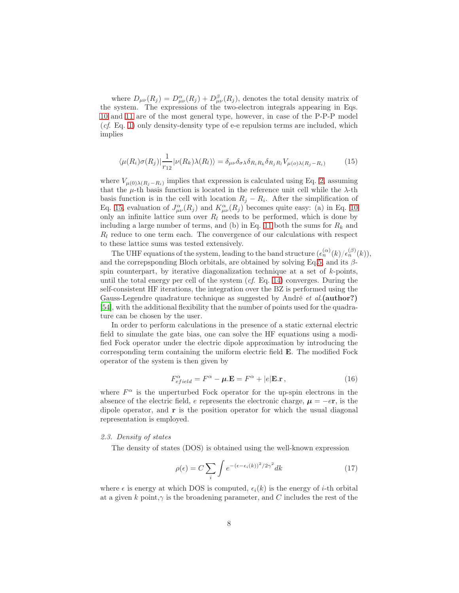where  $D_{\mu\nu}(R_j) = D_{\mu\nu}^{\alpha}(R_j) + D_{\mu\nu}^{\beta}(R_j)$ , denotes the total density matrix of the system. The expressions of the two-electron integrals appearing in Eqs. [10](#page-6-0) and [11](#page-6-1) are of the most general type, however, in case of the P-P-P model (*cf*. Eq. [1\)](#page-4-1) only density-density type of e-e repulsion terms are included, which implies

<span id="page-7-0"></span>
$$
\langle \mu(R_i)\sigma(R_j)|\frac{1}{r_{12}}|\nu(R_k)\lambda(R_l)\rangle = \delta_{\mu\nu}\delta_{\sigma\lambda}\delta_{R_iR_k}\delta_{R_jR_l}V_{\mu(o)\lambda(R_j-R_i)}
$$
(15)

where  $V_{\mu(0)\lambda(R_j-R_i)}$  implies that expression is calculated using Eq. [2,](#page-4-2) assuming that the  $\mu$ -th basis function is located in the reference unit cell while the  $\lambda$ -th basis function is in the cell with location  $R_j - R_i$ . After the simplification of Eq. [15,](#page-7-0) evaluation of  $J^{\alpha}_{\mu\nu}(R_j)$  and  $K^{\alpha}_{\mu\nu}(R_j)$  becomes quite easy: (a) in Eq. [10](#page-6-0) only an infinite lattice sum over  $R_l$  needs to be performed, which is done by including a large number of terms, and (b) in Eq. [11](#page-6-1) both the sums for  $R_k$  and  $R_l$  reduce to one term each. The convergence of our calculations with respect to these lattice sums was tested extensively.

The UHF equations of the system, leading to the band structure  $(\epsilon_n^{(\alpha)}(k)/\epsilon_n^{(\beta)}(k)),$ and the correpsponding Bloch orbitals, are obtained by solving Eq[.5,](#page-5-1) and its  $\beta$ spin counterpart, by iterative diagonalization technique at a set of  $k$ -points, until the total energy per cell of the system (*cf*. Eq. [14\)](#page-6-2) converges. During the self-consistent HF iterations, the integration over the BZ is performed using the Gauss-Legendre quadrature technique as suggested by André *et al*.(author?) [\[54\]](#page-31-20), with the additional flexibility that the number of points used for the quadrature can be chosen by the user.

In order to perform calculations in the presence of a static external electric field to simulate the gate bias, one can solve the HF equations using a modified Fock operator under the electric dipole approximation by introducing the corresponding term containing the uniform electric field E. The modified Fock operator of the system is then given by

$$
F_{efield}^{\alpha} = F^{\alpha} - \mu.E = F^{\alpha} + |e|E.r,
$$
\n(16)

where  $F^{\alpha}$  is the unperturbed Fock operator for the up-spin electrons in the absence of the electric field, e represents the electronic charge,  $\mu = -e\mathbf{r}$ , is the dipole operator, and r is the position operator for which the usual diagonal representation is employed.

## *2.3. Density of states*

The density of states (DOS) is obtained using the well-known expression

<span id="page-7-1"></span>
$$
\rho(\epsilon) = C \sum_{i} \int e^{-(\epsilon - \epsilon_i(k))^2 / 2\gamma^2} dk \tag{17}
$$

where  $\epsilon$  is energy at which DOS is computed,  $\epsilon_i(k)$  is the energy of *i*-th orbital at a given k point, $\gamma$  is the broadening parameter, and C includes the rest of the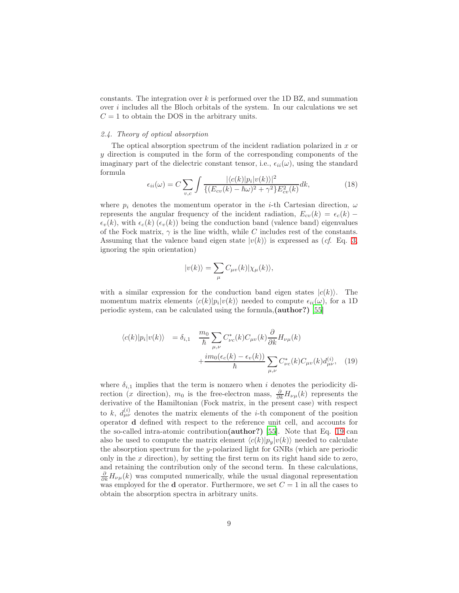constants. The integration over  $k$  is performed over the 1D BZ, and summation over  $i$  includes all the Bloch orbitals of the system. In our calculations we set  $C = 1$  to obtain the DOS in the arbitrary units.

# *2.4. Theory of optical absorption*

The optical absorption spectrum of the incident radiation polarized in  $x$  or  $y$  direction is computed in the form of the corresponding components of the imaginary part of the dielectric constant tensor, i.e.,  $\epsilon_{ii}(\omega)$ , using the standard formula

<span id="page-8-1"></span>
$$
\epsilon_{ii}(\omega) = C \sum_{v,c} \int \frac{|\langle c(k)|p_i|v(k)\rangle|^2}{\{(E_{cv}(k) - \hbar\omega)^2 + \gamma^2\}E_{cv}^2(k)}dk,\tag{18}
$$

where  $p_i$  denotes the momentum operator in the *i*-th Cartesian direction,  $\omega$ represents the angular frequency of the incident radiation,  $E_{cv}(k) = \epsilon_c(k)$  –  $\epsilon_v(k)$ , with  $\epsilon_c(k)$  ( $\epsilon_v(k)$ ) being the conduction band (valence band) eigenvalues of the Fock matrix,  $\gamma$  is the line width, while C includes rest of the constants. Assuming that the valence band eigen state  $|v(k)\rangle$  is expressed as (*cf.* Eq. [3,](#page-5-0) ignoring the spin orientation)

$$
|v(k)\rangle = \sum_{\mu} C_{\mu v}(k) |\chi_{\mu}(k)\rangle,
$$

with a similar expression for the conduction band eigen states  $|c(k)\rangle$ . The momentum matrix elements  $\langle c(k)|p_i|v(k)\rangle$  needed to compute  $\epsilon_{ii}(\omega)$ , for a 1D periodic system, can be calculated using the formula,(author?) [\[55](#page-31-21)]

<span id="page-8-0"></span>
$$
\langle c(k)|p_i|v(k)\rangle = \delta_{i,1} \frac{m_0}{\hbar} \sum_{\mu,\nu} C_{\nu c}^*(k) C_{\mu v}(k) \frac{\partial}{\partial k} H_{\nu \mu}(k) + \frac{im_0(\epsilon_c(k) - \epsilon_v(k))}{\hbar} \sum_{\mu,\nu} C_{\nu c}^*(k) C_{\mu v}(k) d_{\mu \nu}^{(i)}, \quad (19)
$$

where  $\delta_{i,1}$  implies that the term is nonzero when i denotes the periodicity direction (x direction),  $m_0$  is the free-electron mass,  $\frac{\partial}{\partial k}H_{\nu\mu}(k)$  represents the derivative of the Hamiltonian (Fock matrix, in the present case) with respect to k,  $d_{\mu\nu}^{(i)}$  denotes the matrix elements of the *i*-th component of the position operator d defined with respect to the reference unit cell, and accounts for the so-called intra-atomic contribution(author?) [\[55\]](#page-31-21). Note that Eq. [19](#page-8-0) can also be used to compute the matrix element  $\langle c(k)|p_y|v(k)\rangle$  needed to calculate the absorption spectrum for the y-polarized light for GNRs (which are periodic only in the  $x$  direction), by setting the first term on its right hand side to zero, and retaining the contribution only of the second term. In these calculations,  $\frac{\partial}{\partial k}H_{\nu\mu}(k)$  was computed numerically, while the usual diagonal representation was employed for the **d** operator. Furthermore, we set  $C = 1$  in all the cases to obtain the absorption spectra in arbitrary units.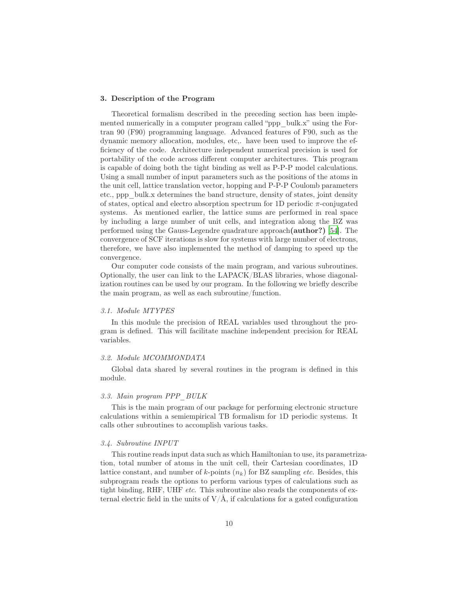## <span id="page-9-0"></span>3. Description of the Program

Theoretical formalism described in the preceding section has been implemented numerically in a computer program called "ppp\_bulk.x" using the Fortran 90 (F90) programming language. Advanced features of F90, such as the dynamic memory allocation, modules, etc,. have been used to improve the efficiency of the code. Architecture independent numerical precision is used for portability of the code across different computer architectures. This program is capable of doing both the tight binding as well as P-P-P model calculations. Using a small number of input parameters such as the positions of the atoms in the unit cell, lattice translation vector, hopping and P-P-P Coulomb parameters etc., ppp\_bulk.x determines the band structure, density of states, joint density of states, optical and electro absorption spectrum for 1D periodic  $\pi$ -conjugated systems. As mentioned earlier, the lattice sums are performed in real space by including a large number of unit cells, and integration along the BZ was performed using the Gauss-Legendre quadrature approach(author?) [\[54](#page-31-20)]. The convergence of SCF iterations is slow for systems with large number of electrons, therefore, we have also implemented the method of damping to speed up the convergence.

Our computer code consists of the main program, and various subroutines. Optionally, the user can link to the LAPACK/BLAS libraries, whose diagonalization routines can be used by our program. In the following we briefly describe the main program, as well as each subroutine/function.

#### *3.1. Module MTYPES*

In this module the precision of REAL variables used throughout the program is defined. This will facilitate machine independent precision for REAL variables.

# *3.2. Module MCOMMONDATA*

Global data shared by several routines in the program is defined in this module.

## *3.3. Main program PPP\_BULK*

This is the main program of our package for performing electronic structure calculations within a semiempirical TB formalism for 1D periodic systems. It calls other subroutines to accomplish various tasks.

## *3.4. Subroutine INPUT*

This routine reads input data such as which Hamiltonian to use, its parametrization, total number of atoms in the unit cell, their Cartesian coordinates, 1D lattice constant, and number of  $k$ -points  $(n_k)$  for BZ sampling *etc*. Besides, this subprogram reads the options to perform various types of calculations such as tight binding, RHF, UHF *etc*. This subroutine also reads the components of external electric field in the units of  $V/\text{\AA}$ , if calculations for a gated configuration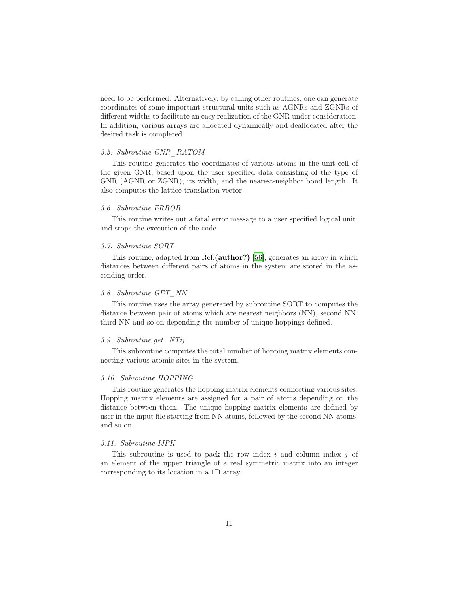need to be performed. Alternatively, by calling other routines, one can generate coordinates of some important structural units such as AGNRs and ZGNRs of different widths to facilitate an easy realization of the GNR under consideration. In addition, various arrays are allocated dynamically and deallocated after the desired task is completed.

#### *3.5. Subroutine GNR\_RATOM*

This routine generates the coordinates of various atoms in the unit cell of the given GNR, based upon the user specified data consisting of the type of GNR (AGNR or ZGNR), its width, and the nearest-neighbor bond length. It also computes the lattice translation vector.

# *3.6. Subroutine ERROR*

This routine writes out a fatal error message to a user specified logical unit, and stops the execution of the code.

#### *3.7. Subroutine SORT*

This routine, adapted from Ref.(author?) [\[56\]](#page-31-22), generates an array in which distances between different pairs of atoms in the system are stored in the ascending order.

## *3.8. Subroutine GET\_NN*

This routine uses the array generated by subroutine SORT to computes the distance between pair of atoms which are nearest neighbors (NN), second NN, third NN and so on depending the number of unique hoppings defined.

# *3.9. Subroutine get\_NTij*

This subroutine computes the total number of hopping matrix elements connecting various atomic sites in the system.

# *3.10. Subroutine HOPPING*

This routine generates the hopping matrix elements connecting various sites. Hopping matrix elements are assigned for a pair of atoms depending on the distance between them. The unique hopping matrix elements are defined by user in the input file starting from NN atoms, followed by the second NN atoms, and so on.

## *3.11. Subroutine IJPK*

This subroutine is used to pack the row index i and column index i of an element of the upper triangle of a real symmetric matrix into an integer corresponding to its location in a 1D array.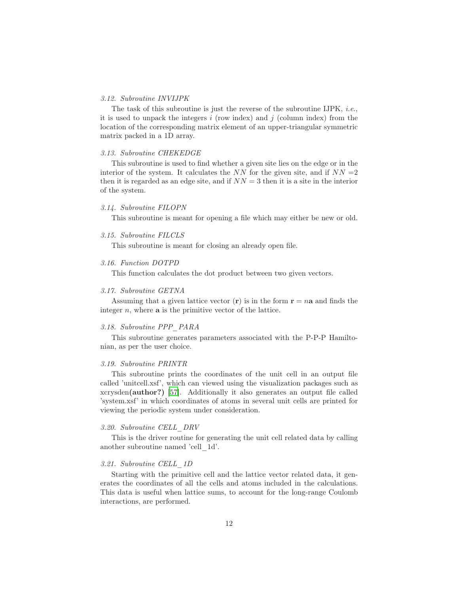#### *3.12. Subroutine INVIJPK*

The task of this subroutine is just the reverse of the subroutine IJPK, *i.e.*, it is used to unpack the integers  $i$  (row index) and  $j$  (column index) from the location of the corresponding matrix element of an upper-triangular symmetric matrix packed in a 1D array.

#### *3.13. Subroutine CHEKEDGE*

This subroutine is used to find whether a given site lies on the edge or in the interior of the system. It calculates the NN for the given site, and if  $NN = 2$ then it is regarded as an edge site, and if  $NN = 3$  then it is a site in the interior of the system.

## *3.14. Subroutine FILOPN*

This subroutine is meant for opening a file which may either be new or old.

## *3.15. Subroutine FILCLS*

This subroutine is meant for closing an already open file.

# *3.16. Function DOTPD*

This function calculates the dot product between two given vectors.

#### *3.17. Subroutine GETNA*

Assuming that a given lattice vector  $(r)$  is in the form  $r = na$  and finds the integer  $n$ , where  $a$  is the primitive vector of the lattice.

#### *3.18. Subroutine PPP\_PARA*

This subroutine generates parameters associated with the P-P-P Hamiltonian, as per the user choice.

#### *3.19. Subroutine PRINTR*

This subroutine prints the coordinates of the unit cell in an output file called 'unitcell.xsf', which can viewed using the visualization packages such as xcrysden(author?) [\[57\]](#page-32-0). Additionally it also generates an output file called 'system.xsf' in which coordinates of atoms in several unit cells are printed for viewing the periodic system under consideration.

## *3.20. Subroutine CELL\_DRV*

This is the driver routine for generating the unit cell related data by calling another subroutine named 'cell\_1d'.

# *3.21. Subroutine CELL\_1D*

Starting with the primitive cell and the lattice vector related data, it generates the coordinates of all the cells and atoms included in the calculations. This data is useful when lattice sums, to account for the long-range Coulomb interactions, are performed.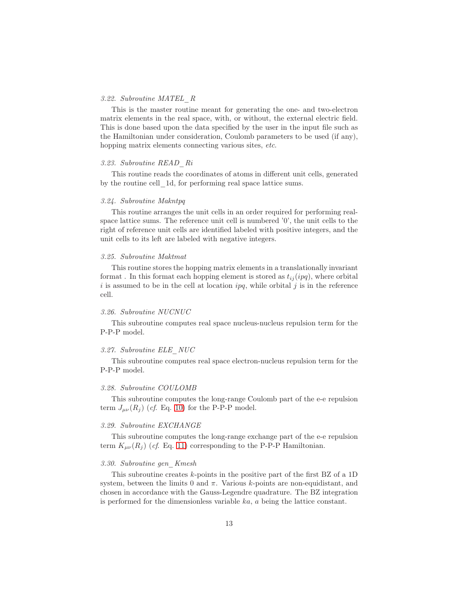## *3.22. Subroutine MATEL\_R*

This is the master routine meant for generating the one- and two-electron matrix elements in the real space, with, or without, the external electric field. This is done based upon the data specified by the user in the input file such as the Hamiltonian under consideration, Coulomb parameters to be used (if any), hopping matrix elements connecting various sites, *etc*.

#### *3.23. Subroutine READ\_Ri*

This routine reads the coordinates of atoms in different unit cells, generated by the routine cell\_1d, for performing real space lattice sums.

#### *3.24. Subroutine Makntpq*

This routine arranges the unit cells in an order required for performing realspace lattice sums. The reference unit cell is numbered '0', the unit cells to the right of reference unit cells are identified labeled with positive integers, and the unit cells to its left are labeled with negative integers.

#### *3.25. Subroutine Maktmat*

This routine stores the hopping matrix elements in a translationally invariant format. In this format each hopping element is stored as  $t_{ij}(ipq)$ , where orbital i is assumed to be in the cell at location  $ipq$ , while orbital j is in the reference cell.

## *3.26. Subroutine NUCNUC*

This subroutine computes real space nucleus-nucleus repulsion term for the P-P-P model.

## *3.27. Subroutine ELE\_NUC*

This subroutine computes real space electron-nucleus repulsion term for the P-P-P model.

# *3.28. Subroutine COULOMB*

This subroutine computes the long-range Coulomb part of the e-e repulsion term  $J_{\mu\nu}(R_i)$  (*cf.* Eq. [10\)](#page-6-0) for the P-P-P model.

#### *3.29. Subroutine EXCHANGE*

This subroutine computes the long-range exchange part of the e-e repulsion term  $K_{\mu\nu}(R_i)$  (*cf.* Eq. [11\)](#page-6-1) corresponding to the P-P-P Hamiltonian.

## *3.30. Subroutine gen\_Kmesh*

This subroutine creates  $k$ -points in the positive part of the first BZ of a 1D system, between the limits 0 and  $\pi$ . Various k-points are non-equidistant, and chosen in accordance with the Gauss-Legendre quadrature. The BZ integration is performed for the dimensionless variable ka, a being the lattice constant.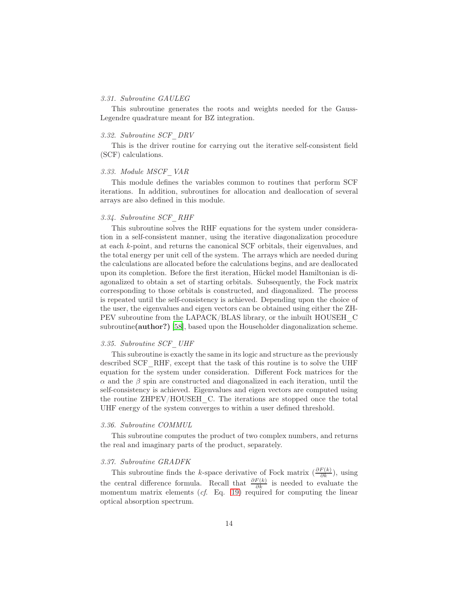#### *3.31. Subroutine GAULEG*

This subroutine generates the roots and weights needed for the Gauss-Legendre quadrature meant for BZ integration.

#### *3.32. Subroutine SCF\_DRV*

This is the driver routine for carrying out the iterative self-consistent field (SCF) calculations.

## *3.33. Module MSCF\_VAR*

This module defines the variables common to routines that perform SCF iterations. In addition, subroutines for allocation and deallocation of several arrays are also defined in this module.

# *3.34. Subroutine SCF\_RHF*

This subroutine solves the RHF equations for the system under consideration in a self-consistent manner, using the iterative diagonalization procedure at each k-point, and returns the canonical SCF orbitals, their eigenvalues, and the total energy per unit cell of the system. The arrays which are needed during the calculations are allocated before the calculations begins, and are deallocated upon its completion. Before the first iteration, Hückel model Hamiltonian is diagonalized to obtain a set of starting orbitals. Subsequently, the Fock matrix corresponding to those orbitals is constructed, and diagonalized. The process is repeated until the self-consistency is achieved. Depending upon the choice of the user, the eigenvalues and eigen vectors can be obtained using either the ZH-PEV subroutine from the LAPACK/BLAS library, or the inbuilt HOUSEH\_C subroutine(author?) [\[58\]](#page-32-1), based upon the Householder diagonalization scheme.

# *3.35. Subroutine SCF\_UHF*

This subroutine is exactly the same in its logic and structure as the previously described SCF\_RHF, except that the task of this routine is to solve the UHF equation for the system under consideration. Different Fock matrices for the  $\alpha$  and the  $\beta$  spin are constructed and diagonalized in each iteration, until the self-consistency is achieved. Eigenvalues and eigen vectors are computed using the routine ZHPEV/HOUSEH\_C. The iterations are stopped once the total UHF energy of the system converges to within a user defined threshold.

#### *3.36. Subroutine COMMUL*

This subroutine computes the product of two complex numbers, and returns the real and imaginary parts of the product, separately.

## *3.37. Subroutine GRADFK*

This subroutine finds the k-space derivative of Fock matrix  $\left(\frac{\partial F(k)}{\partial k}\right)$ , using the central difference formula. Recall that  $\frac{\partial F(k)}{\partial k}$  is needed to evaluate the momentum matrix elements (*cf*. Eq. [19\)](#page-8-0) required for computing the linear optical absorption spectrum.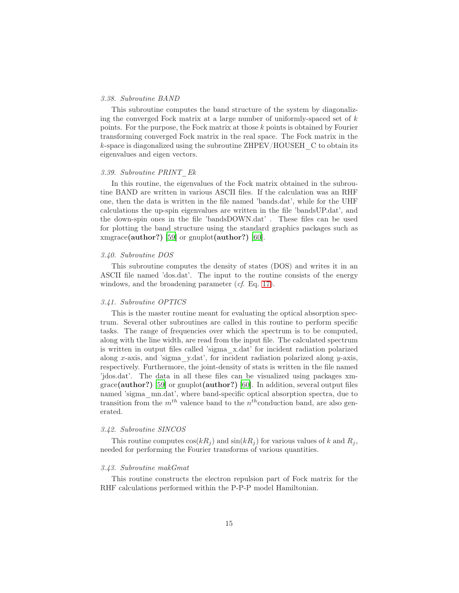#### *3.38. Subroutine BAND*

This subroutine computes the band structure of the system by diagonalizing the converged Fock matrix at a large number of uniformly-spaced set of  $k$ points. For the purpose, the Fock matrix at those k points is obtained by Fourier transforming converged Fock matrix in the real space. The Fock matrix in the  $k$ -space is diagonalized using the subroutine ZHPEV/HOUSEH  $\,$  C to obtain its eigenvalues and eigen vectors.

# *3.39. Subroutine PRINT\_Ek*

In this routine, the eigenvalues of the Fock matrix obtained in the subroutine BAND are written in various ASCII files. If the calculation was an RHF one, then the data is written in the file named 'bands.dat', while for the UHF calculations the up-spin eigenvalues are written in the file 'bandsUP.dat', and the down-spin ones in the file 'bandsDOWN.dat' . These files can be used for plotting the band structure using the standard graphics packages such as xmgrace(author?) [\[59\]](#page-32-2) or gnuplot(author?) [\[60](#page-32-3)].

# *3.40. Subroutine DOS*

This subroutine computes the density of states (DOS) and writes it in an ASCII file named 'dos.dat'. The input to the routine consists of the energy windows, and the broadening parameter (*cf*. Eq. [17\)](#page-7-1).

#### *3.41. Subroutine OPTICS*

This is the master routine meant for evaluating the optical absorption spectrum. Several other subroutines are called in this routine to perform specific tasks. The range of frequencies over which the spectrum is to be computed, along with the line width, are read from the input file. The calculated spectrum is written in output files called 'sigma\_x.dat' for incident radiation polarized along x-axis, and 'sigma\_y.dat', for incident radiation polarized along y-axis, respectively. Furthermore, the joint-density of stats is written in the file named 'jdos.dat'. The data in all these files can be visualized using packages xmgrace(author?) [\[59\]](#page-32-2) or gnuplot(author?) [\[60\]](#page-32-3). In addition, several output files named 'sigma\_mn.dat', where band-specific optical absorption spectra, due to transition from the  $m^{th}$  valence band to the  $n^{th}$ conduction band, are also generated.

#### *3.42. Subroutine SINCOS*

This routine computes  $\cos(kR_i)$  and  $\sin(kR_i)$  for various values of k and  $R_i$ , needed for performing the Fourier transforms of various quantities.

#### *3.43. Subroutine makGmat*

This routine constructs the electron repulsion part of Fock matrix for the RHF calculations performed within the P-P-P model Hamiltonian.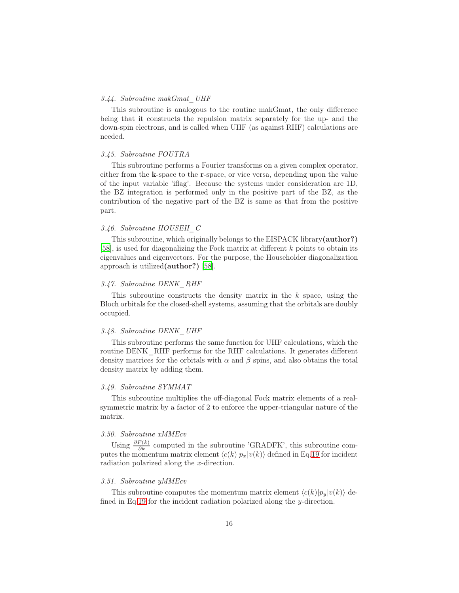## *3.44. Subroutine makGmat\_UHF*

This subroutine is analogous to the routine makGmat, the only difference being that it constructs the repulsion matrix separately for the up- and the down-spin electrons, and is called when UHF (as against RHF) calculations are needed.

## *3.45. Subroutine FOUTRA*

This subroutine performs a Fourier transforms on a given complex operator, either from the k-space to the r-space, or vice versa, depending upon the value of the input variable 'iflag'. Because the systems under consideration are 1D, the BZ integration is performed only in the positive part of the BZ, as the contribution of the negative part of the BZ is same as that from the positive part.

## *3.46. Subroutine HOUSEH\_C*

This subroutine, which originally belongs to the EISPACK library(author?) [\[58\]](#page-32-1), is used for diagonalizing the Fock matrix at different k points to obtain its eigenvalues and eigenvectors. For the purpose, the Householder diagonalization approach is utilized(author?) [\[58](#page-32-1)].

## *3.47. Subroutine DENK\_RHF*

This subroutine constructs the density matrix in the  $k$  space, using the Bloch orbitals for the closed-shell systems, assuming that the orbitals are doubly occupied.

## *3.48. Subroutine DENK\_UHF*

This subroutine performs the same function for UHF calculations, which the routine DENK RHF performs for the RHF calculations. It generates different density matrices for the orbitals with  $\alpha$  and  $\beta$  spins, and also obtains the total density matrix by adding them.

## *3.49. Subroutine SYMMAT*

This subroutine multiplies the off-diagonal Fock matrix elements of a realsymmetric matrix by a factor of 2 to enforce the upper-triangular nature of the matrix.

# *3.50. Subroutine xMMEcv*

Using  $\frac{\partial F(k)}{\partial k}$  computed in the subroutine 'GRADFK', this subroutine computes the momentum matrix element  $\langle c(k)|p_x|v(k)\rangle$  defined in Eq[.19](#page-8-0) for incident radiation polarized along the x-direction.

## *3.51. Subroutine yMMEcv*

This subroutine computes the momentum matrix element  $\langle c(k)|p_y|v(k)\rangle$  defined in Eq[.19](#page-8-0) for the incident radiation polarized along the y-direction.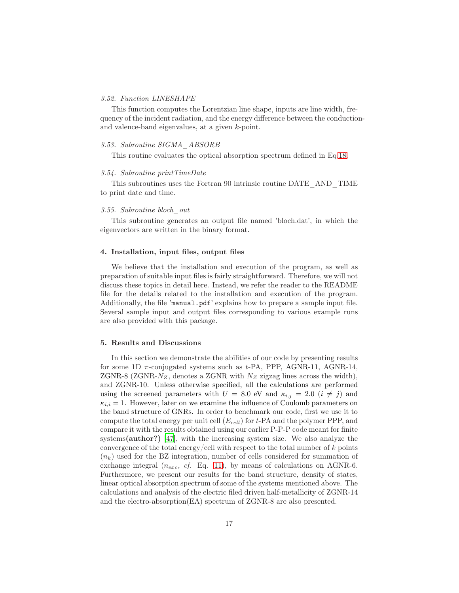## *3.52. Function LINESHAPE*

This function computes the Lorentzian line shape, inputs are line width, frequency of the incident radiation, and the energy difference between the conductionand valence-band eigenvalues, at a given k-point.

## *3.53. Subroutine SIGMA\_ABSORB*

This routine evaluates the optical absorption spectrum defined in Eq[.18.](#page-8-1)

#### *3.54. Subroutine printTimeDate*

This subroutines uses the Fortran 90 intrinsic routine DATE\_AND\_TIME to print date and time.

## *3.55. Subroutine bloch\_out*

This subroutine generates an output file named 'bloch.dat', in which the eigenvectors are written in the binary format.

#### <span id="page-16-0"></span>4. Installation, input files, output files

We believe that the installation and execution of the program, as well as preparation of suitable input files is fairly straightforward. Therefore, we will not discuss these topics in detail here. Instead, we refer the reader to the README file for the details related to the installation and execution of the program. Additionally, the file 'manual.pdf' explains how to prepare a sample input file. Several sample input and output files corresponding to various example runs are also provided with this package.

#### <span id="page-16-1"></span>5. Results and Discussions

In this section we demonstrate the abilities of our code by presenting results for some 1D  $\pi$ -conjugated systems such as t-PA, PPP, AGNR-11, AGNR-14, ZGNR-8 (ZGNR- $N_Z$ , denotes a ZGNR with  $N_Z$  zigzag lines across the width), and ZGNR-10. Unless otherwise specified, all the calculations are performed using the screened parameters with  $U = 8.0$  eV and  $\kappa_{i,j} = 2.0$   $(i \neq j)$  and  $\kappa_{i,i} = 1$ . However, later on we examine the influence of Coulomb parameters on the band structure of GNRs. In order to benchmark our code, first we use it to compute the total energy per unit cell  $(E_{cell})$  for t-PA and the polymer PPP, and compare it with the results obtained using our earlier P-P-P code meant for finite systems(author?) [\[47\]](#page-31-13), with the increasing system size. We also analyze the convergence of the total energy/cell with respect to the total number of  $k$  points  $(n_k)$  used for the BZ integration, number of cells considered for summation of exchange integral  $(n_{exc}, cf.$  Eq. [11\)](#page-6-1), by means of calculations on AGNR-6. Furthermore, we present our results for the band structure, density of states, linear optical absorption spectrum of some of the systems mentioned above. The calculations and analysis of the electric filed driven half-metallicity of ZGNR-14 and the electro-absorption(EA) spectrum of ZGNR-8 are also presented.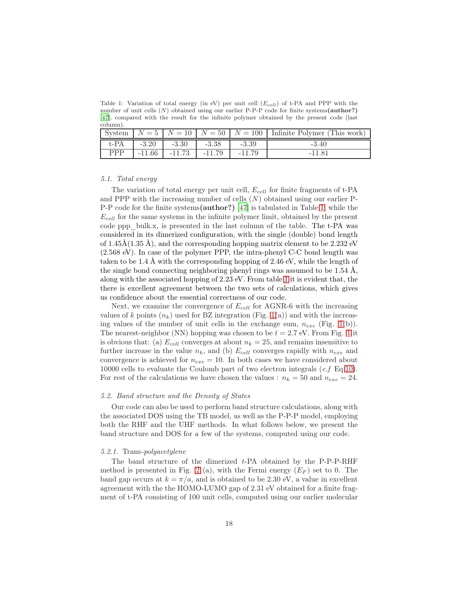<span id="page-17-0"></span>Table 1: Variation of total energy (in eV) per unit cell  $(E_{cell})$  of t-PA and PPP with the number of unit cells  $(N)$  obtained using our earlier P-P-P code for finite systems(author?) [\[47](#page-31-13)], compared with the result for the infinite polymer obtained by the present code (last column).

|                       |          |          |          |          | System $N = 5$ $N = 10$ $N = 50$ $N = 100$ Infinite Polymer (This work) |
|-----------------------|----------|----------|----------|----------|-------------------------------------------------------------------------|
| $t$ - $\overline{PA}$ | $-3.20$  | $-3.30$  | $-3.38$  | $-3.39$  | $-3.40$                                                                 |
| PPP                   | $-11.66$ | $-11.73$ | $-11.79$ | $-11.79$ | -11.81                                                                  |

#### *5.1. Total energy*

The variation of total energy per unit cell,  $E_{cell}$  for finite fragments of t-PA and PPP with the increasing number of cells  $(N)$  obtained using our earlier P-P-P code for the finite systems(author?) [\[47\]](#page-31-13) is tabulated in Table [1,](#page-17-0) while the  $E_{cell}$  for the same systems in the infinite polymer limit, obtained by the present code ppp\_bulk.x, is presented in the last column of the table. The t-PA was considered in its dimerized configuration, with the single (double) bond length of  $1.45\text{\AA}(1.35\text{\AA})$ , and the corresponding hopping matrix element to be 2.232 eV (2.568 eV). In case of the polymer PPP, the intra-phenyl C-C bond length was taken to be 1.4 Å with the corresponding hopping of 2.46 eV, while the length of the single bond connecting neighboring phenyl rings was assumed to be  $1.54 \text{ Å}$ , along with the associated hopping of 2.23 eV. From table [1](#page-17-0) it is evident that, the there is excellent agreement between the two sets of calculations, which gives us confidence about the essential correctness of our code.

Next, we examine the convergence of  $E_{cell}$  for AGNR-6 with the increasing values of k points  $(n_k)$  used for BZ integration (Fig. [1\(](#page-18-0)a)) and with the increasing values of the number of unit cells in the exchange sum,  $n_{exc}$  (Fig. [1\(](#page-18-0)b)). The nearest-neighbor (NN) hopping was chosen to be  $t = 2.7$  eV. From Fig. [1](#page-18-0) it is obvious that: (a)  $E_{cell}$  converges at about  $n_k = 25$ , and remains insensitive to further increase in the value  $n_k$ , and (b)  $E_{cell}$  converges rapidly with  $n_{exe}$  and convergence is achieved for  $n_{exe} = 10$ . In both cases we have considered about 10000 cells to evaluate the Coulomb part of two electron integrals (*c.f* Eq[.10\)](#page-6-0). For rest of the calculations we have chosen the values :  $n_k = 50$  and  $n_{exe} = 24$ .

## *5.2. Band structure and the Density of States*

Our code can also be used to perform band structure calculations, along with the associated DOS using the TB model, as well as the P-P-P model, employing both the RHF and the UHF methods. In what follows below, we present the band structure and DOS for a few of the systems, computed using our code.

#### *5.2.1.* Trans*-polyacetylene*

The band structure of the dimerized *t*-PA obtained by the P-P-P-RHF method is presented in Fig. [2](#page-19-0) (a), with the Fermi energy  $(E_F)$  set to 0. The band gap occurs at  $k = \pi/a$ , and is obtained to be 2.30 eV, a value in excellent agreement with the the HOMO-LUMO gap of 2.31 eV obtained for a finite fragment of t-PA consisting of 100 unit cells, computed using our earlier molecular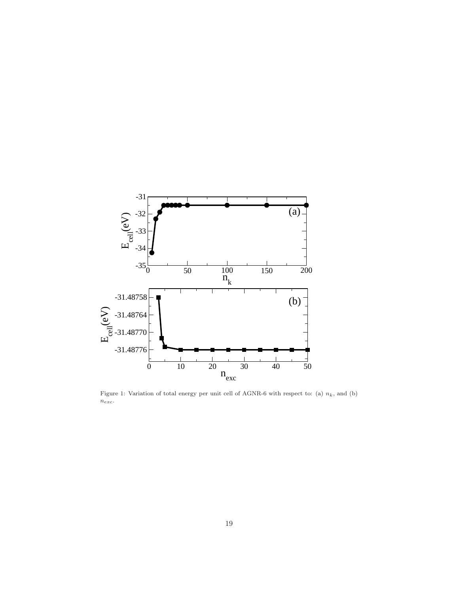

<span id="page-18-0"></span>Figure 1: Variation of total energy per unit cell of AGNR-6 with respect to: (a)  $n_k$ , and (b)  $n_{exc}.$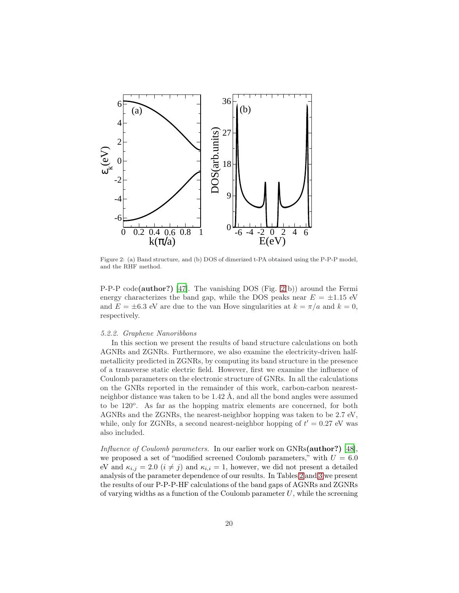

<span id="page-19-0"></span>Figure 2: (a) Band structure, and (b) DOS of dimerized t-PA obtained using the P-P-P model, and the RHF method.

P-P-P code(author?) [\[47\]](#page-31-13). The vanishing DOS (Fig. [2\(](#page-19-0)b)) around the Fermi energy characterizes the band gap, while the DOS peaks near  $E = \pm 1.15$  eV and  $E = \pm 6.3$  eV are due to the van Hove singularities at  $k = \pi/a$  and  $k = 0$ , respectively.

## *5.2.2. Graphene Nanoribbons*

In this section we present the results of band structure calculations on both AGNRs and ZGNRs. Furthermore, we also examine the electricity-driven halfmetallicity predicted in ZGNRs, by computing its band structure in the presence of a transverse static electric field. However, first we examine the influence of Coulomb parameters on the electronic structure of GNRs. In all the calculations on the GNRs reported in the remainder of this work, carbon-carbon nearestneighbor distance was taken to be 1.42 Å, and all the bond angles were assumed to be 120<sup>o</sup>. As far as the hopping matrix elements are concerned, for both AGNRs and the ZGNRs, the nearest-neighbor hopping was taken to be 2.7 eV, while, only for ZGNRs, a second nearest-neighbor hopping of  $t' = 0.27$  eV was also included.

*Influence of Coulomb parameters.* In our earlier work on GNRs(author?) [\[48\]](#page-31-14), we proposed a set of "modified screened Coulomb parameters," with  $U = 6.0$ eV and  $\kappa_{i,j} = 2.0$   $(i \neq j)$  and  $\kappa_{i,i} = 1$ , however, we did not present a detailed analysis of the parameter dependence of our results. In Tables [2](#page-20-0) and [3](#page-21-0) we present the results of our P-P-P-HF calculations of the band gaps of AGNRs and ZGNRs of varying widths as a function of the Coulomb parameter  $U$ , while the screening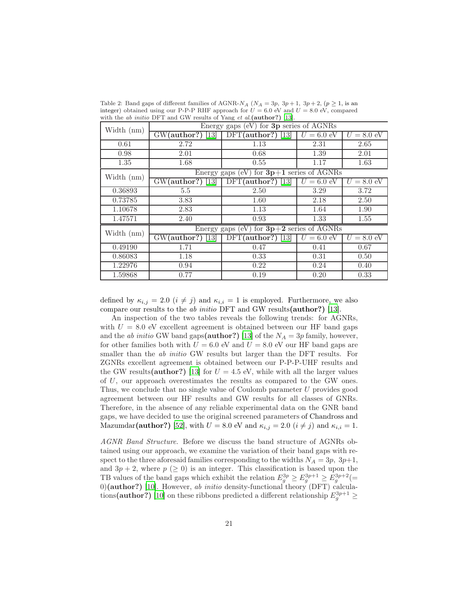<span id="page-20-0"></span>Table 2: Band gaps of different families of AGNR- $N_A$  ( $N_A = 3p$ ,  $3p + 1$ ,  $3p + 2$ , ( $p \ge 1$ , is an integer) obtained using our P-P-P RHF approach for  $U = 6.0$  eV and  $U = 8.0$  eV, compared with the *ab initio* DFT and GW results of Yang *et al.*(author?) [\[13](#page-29-12)].

| Width (nm)   | Energy gaps (eV) for $3p$ series of $\overline{\text{AGNRs}}$ |                     |                      |                 |  |  |  |  |
|--------------|---------------------------------------------------------------|---------------------|----------------------|-----------------|--|--|--|--|
|              | $GW(author?)$ [13]                                            | $DFT(author?)$ [13] | $U = 6.0 \text{ eV}$ | $U = 8.0$ eV    |  |  |  |  |
| 0.61         | 2.72                                                          | 1.13                | 2.31                 | 2.65            |  |  |  |  |
| 0.98         | 2.01                                                          | 0.68                | 1.39                 | 2.01            |  |  |  |  |
| 1.35         | 1.68                                                          | 0.55                | 1.17                 | 1.63            |  |  |  |  |
| Width $(nm)$ | Energy gaps (eV) for $3\overline{p+1}$ series of AGNRs        |                     |                      |                 |  |  |  |  |
|              | $GW(author?)$ [13]                                            | $DFT(author?)$ [13] | $U = 6.0$ eV         | $= 8.0$ eV<br>U |  |  |  |  |
| 0.36893      | 5.5                                                           | 2.50                | 3.29                 | 3.72            |  |  |  |  |
| 0.73785      | 3.83                                                          | 1.60                | 2.18                 | 2.50            |  |  |  |  |
| 1.10678      | 2.83                                                          | 1.13                | 1.64                 | 1.90            |  |  |  |  |
| 1.47571      | 2.40                                                          | 0.93                | 1.33                 | 1.55            |  |  |  |  |
| Width (nm)   | Energy gaps (eV) for $3p+2$ series of AGNRs                   |                     |                      |                 |  |  |  |  |
|              | $GW(author?)$ [13]                                            | $DFT(author?)$ [13] | $U = 6.0$ eV         | $U = 8.0$ eV    |  |  |  |  |
| 0.49190      | 1.71                                                          | 0.47                | 0.41                 | 0.67            |  |  |  |  |
| 0.86083      | 1.18                                                          | 0.33                | 0.31                 | 0.50            |  |  |  |  |
| 1.22976      | 0.94                                                          | 0.22                | 0.24                 | 0.40            |  |  |  |  |
| 1.59868      | 0.77                                                          | 0.19                | 0.20                 | 0.33            |  |  |  |  |

defined by  $\kappa_{i,j} = 2.0$   $(i \neq j)$  and  $\kappa_{i,i} = 1$  is employed. Furthermore, we also compare our results to the *ab initio* DFT and GW results(author?) [\[13](#page-29-12)].

An inspection of the two tables reveals the following trends: for AGNRs, with  $U = 8.0$  eV excellent agreement is obtained between our HF band gaps and the *ab initio* GW band gaps(**author?**) [\[13](#page-29-12)] of the  $N_A = 3p$  family, however, for other families both with  $U = 6.0$  eV and  $U = 8.0$  eV our HF band gaps are smaller than the *ab initio* GW results but larger than the DFT results. For ZGNRs excellent agreement is obtained between our P-P-P-UHF results and the GW results(author?) [\[13\]](#page-29-12) for  $U = 4.5$  eV, while with all the larger values of U, our approach overestimates the results as compared to the GW ones. Thus, we conclude that no single value of Coulomb parameter U provides good agreement between our HF results and GW results for all classes of GNRs. Therefore, in the absence of any reliable experimental data on the GNR band gaps, we have decided to use the original screened parameters of Chandross and Mazumdar(author?) [\[52](#page-31-18)], with  $U = 8.0$  eV and  $\kappa_{i,j} = 2.0$   $(i \neq j)$  and  $\kappa_{i,i} = 1$ .

*AGNR Band Structure.* Before we discuss the band structure of AGNRs obtained using our approach, we examine the variation of their band gaps with respect to the three aforesaid families corresponding to the widths  $N_A = 3p$ ,  $3p+1$ , and  $3p + 2$ , where  $p \ (\geq 0)$  is an integer. This classification is based upon the TB values of the band gaps which exhibit the relation  $E_g^{3p} \ge E_g^{3p+1} \ge E_g^{3p+2} (=$ 0)(author?) [\[10](#page-29-9)]. However, *ab initio* density-functional theory (DFT) calculations(**author**?) [\[10\]](#page-29-9) on these ribbons predicted a different relationship  $E_g^{3p+1} \geq$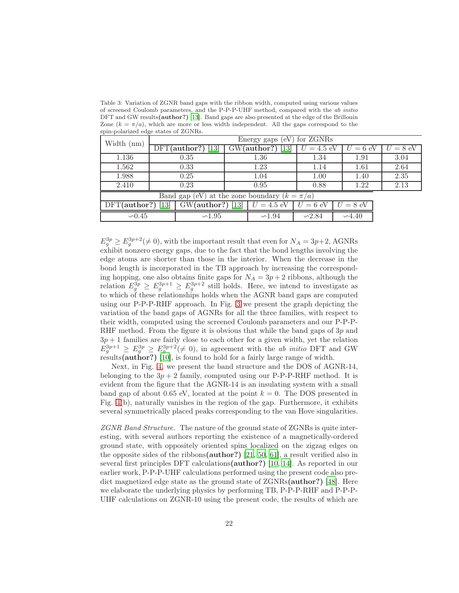<span id="page-21-0"></span>Table 3: Variation of ZGNR band gaps with the ribbon width, computed using various values of screened Coulomb parameters, and the P-P-P-UHF method, compared with the ab initio DFT and GW results(author?) [\[13\]](#page-29-12). Band gaps are also presented at the edge of the Brillouin Zone  $(k = \pi/a)$ , which are more or less width independent. All the gaps correspond to the spin-polarized edge states of ZGNRs.

| Width (nm)                                       | Energy gaps (eV) for ZGNRs |                    |                    |                    |             |            |  |  |  |
|--------------------------------------------------|----------------------------|--------------------|--------------------|--------------------|-------------|------------|--|--|--|
|                                                  | $DFT(author?)$ [13]        |                    | $GW(author?)$ [13] | $=4.5$ eV          | $U=6$ eV    | $U = 8$ eV |  |  |  |
| 1.136                                            | 0.35                       |                    | 1.36               | 1.34               | 1.91        | 3.04       |  |  |  |
| 1.562                                            | 0.33                       |                    | 1.23               | 1.14               | 1.61        | 2.64       |  |  |  |
| 1.988                                            | 0.25                       |                    | 1.04               | 1.00               | 1.40        | 2.35       |  |  |  |
| 2.410                                            | 0.23                       |                    | 0.95               | 0.88               | 1.22        | 2.13       |  |  |  |
| Band gap (eV) at the zone boundary $(k = \pi/a)$ |                            |                    |                    |                    |             |            |  |  |  |
| DFT(author?)                                     | 13                         | $GW(author?)$ [13] |                    | $= 6$ eV           | $= 8$ eV    |            |  |  |  |
| $\sim 0.45$                                      |                            | $\sim$ 1.95        |                    | $\backsim\!\!2.84$ | $\sim$ 4.40 |            |  |  |  |

 $E_g^{3p} \geq E_g^{3p+2} (\neq 0)$ , with the important result that even for  $N_A = 3p+2$ , AGNRs exhibit nonzero energy gaps, due to the fact that the bond lengths involving the edge atoms are shorter than those in the interior. When the decrease in the bond length is incorporated in the TB approach by increasing the corresponding hopping, one also obtains finite gaps for  $N_A = 3p + 2$  ribbons, although the relation  $E_g^{3p} \ge E_g^{3p+1} \ge E_g^{3p+2}$  still holds. Here, we intend to investigate as to which of these relationships holds when the AGNR band gaps are computed using our P-P-P-RHF approach. In Fig. [3](#page-22-0) we present the graph depicting the variation of the band gaps of AGNRs for all the three families, with respect to their width, computed using the screened Coulomb parameters and our P-P-P-RHF method. From the figure it is obvious that while the band gaps of 3p and  $3p + 1$  families are fairly close to each other for a given width, yet the relation  $E_g^{3p+1} \ge E_g^{3p} \ge E_g^{3p+2} (\neq 0)$ , in agreement with the *ab initio* DFT and GW results(author?) [\[10\]](#page-29-9), is found to hold for a fairly large range of width.

Next, in Fig. [4,](#page-22-1) we present the band structure and the DOS of AGNR-14, belonging to the  $3p + 2$  family, computed using our P-P-P-RHF method. It is evident from the figure that the AGNR-14 is an insulating system with a small band gap of about 0.65 eV, located at the point  $k = 0$ . The DOS presented in Fig. [4\(](#page-22-1)b), naturally vanishes in the region of the gap. Furthermore, it exhibits several symmetrically placed peaks corresponding to the van Hove singularities.

*ZGNR Band Structure.* The nature of the ground state of ZGNRs is quite interesting, with several authors reporting the existence of a magnetically-ordered ground state, with oppositely oriented spins localized on the zigzag edges on the opposite sides of the ribbons(author?) [\[21](#page-30-7), [50](#page-31-16), [61](#page-32-4)], a result verified also in several first principles DFT calculations(author?) [\[10,](#page-29-9) [14\]](#page-30-0). As reported in our earlier work, P-P-P-UHF calculations performed using the present code also predict magnetized edge state as the ground state of ZGNRs(author?) [\[48](#page-31-14)]. Here we elaborate the underlying physics by performing TB, P-P-P-RHF and P-P-P-UHF calculations on ZGNR-10 using the present code, the results of which are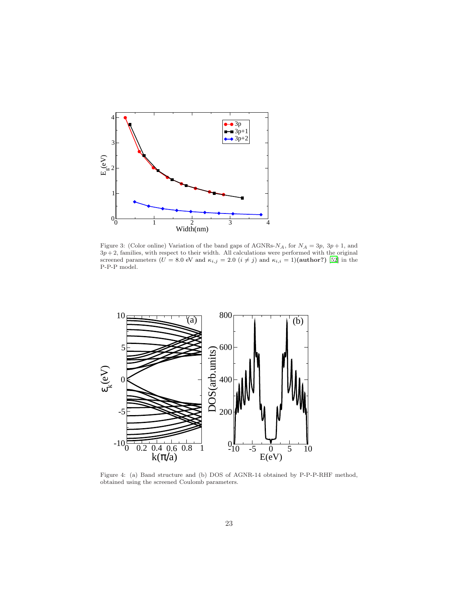

<span id="page-22-0"></span>Figure 3: (Color online) Variation of the band gaps of AGNRs- $N_A$ , for  $N_A = 3p$ ,  $3p + 1$ , and  $3p+2$ , families, with respect to their width. All calculations were performed with the original screened parameters ( $U = 8.0$  eV and  $\kappa_{i,j} = 2.0$   $(i \neq j)$  and  $\kappa_{i,i} = 1$ )(author?) [\[52](#page-31-18)] in the P-P-P model.



<span id="page-22-1"></span>Figure 4: (a) Band structure and (b) DOS of AGNR-14 obtained by P-P-P-RHF method, obtained using the screened Coulomb parameters.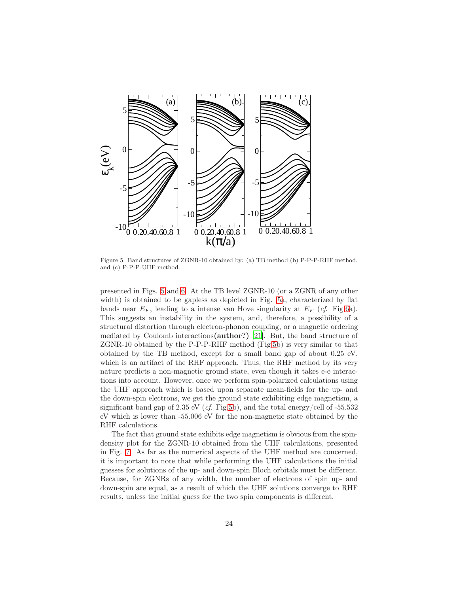

<span id="page-23-0"></span>Figure 5: Band structures of ZGNR-10 obtained by: (a) TB method (b) P-P-P-RHF method, and (c) P-P-P-UHF method.

presented in Figs. [5](#page-23-0) and [6.](#page-24-0) At the TB level ZGNR-10 (or a ZGNR of any other width) is obtained to be gapless as depicted in Fig. [5a](#page-23-0), characterized by flat bands near  $E_F$ , leading to a intense van Hove singularity at  $E_F$  (*cf.* Fig[.6a](#page-24-0)). This suggests an instability in the system, and, therefore, a possibility of a structural distortion through electron-phonon coupling, or a magnetic ordering mediated by Coulomb interactions(author?) [\[21](#page-30-7)]. But, the band structure of ZGNR-10 obtained by the P-P-P-RHF method (Fig[.5b](#page-23-0)) is very similar to that obtained by the TB method, except for a small band gap of about 0.25 eV, which is an artifact of the RHF approach. Thus, the RHF method by its very nature predicts a non-magnetic ground state, even though it takes e-e interactions into account. However, once we perform spin-polarized calculations using the UHF approach which is based upon separate mean-fields for the up- and the down-spin electrons, we get the ground state exhibiting edge magnetism, a significant band gap of 2.35 eV (*cf*. Fig[.5b](#page-23-0)), and the total energy/cell of -55.532 eV which is lower than -55.006 eV for the non-magnetic state obtained by the RHF calculations.

The fact that ground state exhibits edge magnetism is obvious from the spindensity plot for the ZGNR-10 obtained from the UHF calculations, presented in Fig. [7.](#page-24-1) As far as the numerical aspects of the UHF method are concerned, it is important to note that while performing the UHF calculations the initial guesses for solutions of the up- and down-spin Bloch orbitals must be different. Because, for ZGNRs of any width, the number of electrons of spin up- and down-spin are equal, as a result of which the UHF solutions converge to RHF results, unless the initial guess for the two spin components is different.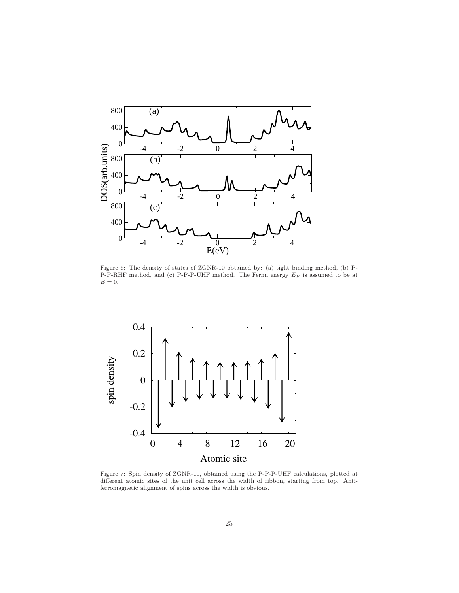

<span id="page-24-0"></span>Figure 6: The density of states of ZGNR-10 obtained by: (a) tight binding method, (b) P-P-P-RHF method, and (c) P-P-P-UHF method. The Fermi energy  $E_F$  is assumed to be at  $E=0.$ 



<span id="page-24-1"></span>Figure 7: Spin density of ZGNR-10, obtained using the P-P-P-UHF calculations, plotted at different atomic sites of the unit cell across the width of ribbon, starting from top. Antiferromagnetic alignment of spins across the width is obvious.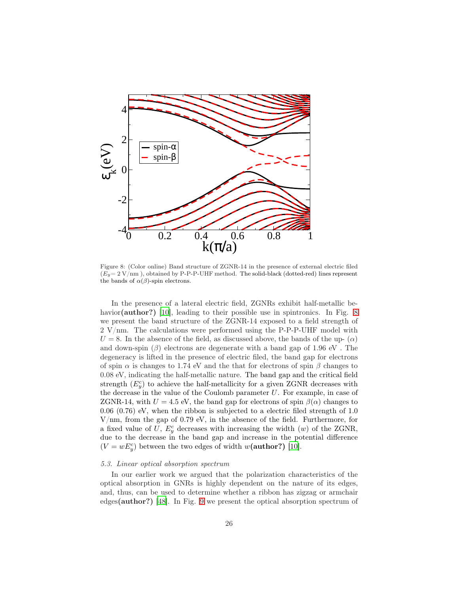

<span id="page-25-0"></span>Figure 8: (Color online) Band structure of ZGNR-14 in the presence of external electric filed  $(E_y=2 \text{ V/mm})$ , obtained by P-P-P-UHF method. The solid-black (dotted-red) lines represent the bands of  $\alpha(\beta)$ -spin electrons.

In the presence of a lateral electric field, ZGNRs exhibit half-metallic be-havior(author?) [\[10\]](#page-29-9), leading to their possible use in spintronics. In Fig. [8](#page-25-0) we present the band structure of the ZGNR-14 exposed to a field strength of  $2 \text{ V/mm}$ . The calculations were performed using the P-P-P-UHF model with  $U = 8$ . In the absence of the field, as discussed above, the bands of the up-  $(\alpha)$ and down-spin  $(\beta)$  electrons are degenerate with a band gap of 1.96 eV. degeneracy is lifted in the presence of electric filed, the band gap for electrons of spin  $\alpha$  is changes to 1.74 eV and the that for electrons of spin  $\beta$  changes to 0.08 eV, indicating the half-metallic nature. The band gap and the critical field strength  $(E_y^c)$  to achieve the half-metallicity for a given ZGNR decreases with the decrease in the value of the Coulomb parameter  $U$ . For example, in case of ZGNR-14, with  $U = 4.5$  eV, the band gap for electrons of spin  $\beta(\alpha)$  changes to 0.06 (0.76) eV, when the ribbon is subjected to a electric filed strength of 1.0 V/nm, from the gap of 0.79 eV, in the absence of the field. Furthermore, for a fixed value of U,  $E_y^c$  decreases with increasing the width  $(w)$  of the ZGNR, due to the decrease in the band gap and increase in the potential difference  $(V = wE_y^c)$  between the two edges of width  $w(\text{author?})$  [\[10](#page-29-9)].

#### *5.3. Linear optical absorption spectrum*

In our earlier work we argued that the polarization characteristics of the optical absorption in GNRs is highly dependent on the nature of its edges, and, thus, can be used to determine whether a ribbon has zigzag or armchair edges(author?) [\[48\]](#page-31-14). In Fig. [9](#page-26-0) we present the optical absorption spectrum of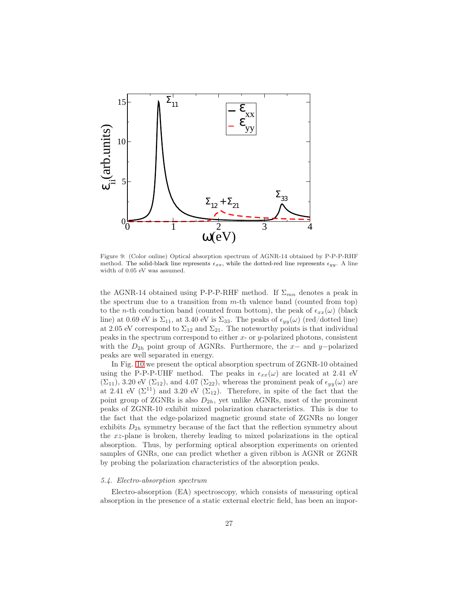

<span id="page-26-0"></span>Figure 9: (Color online) Optical absorption spectrum of AGNR-14 obtained by P-P-P-RHF method. The solid-black line represents  $\epsilon_{xx}$ , while the dotted-red line represents  $\epsilon_{yy}$ . A line width of 0.05 eV was assumed.

the AGNR-14 obtained using P-P-P-RHF method. If  $\Sigma_{mn}$  denotes a peak in the spectrum due to a transition from  $m$ -th valence band (counted from top) to the n-th conduction band (counted from bottom), the peak of  $\epsilon_{xx}(\omega)$  (black line) at 0.69 eV is  $\Sigma_{11}$ , at 3.40 eV is  $\Sigma_{33}$ . The peaks of  $\epsilon_{yy}(\omega)$  (red/dotted line) at 2.05 eV correspond to  $\Sigma_{12}$  and  $\Sigma_{21}$ . The noteworthy points is that individual peaks in the spectrum correspond to either  $x$ - or  $y$ -polarized photons, consistent with the  $D_{2h}$  point group of AGNRs. Furthermore, the x– and y–polarized peaks are well separated in energy.

In Fig. [10](#page-27-0) we present the optical absorption spectrum of ZGNR-10 obtained using the P-P-P-UHF method. The peaks in  $\epsilon_{xx}(\omega)$  are located at 2.41 eV  $(\Sigma_{11}),$  3.20 eV  $(\Sigma_{12}),$  and 4.07  $(\Sigma_{22}),$  whereas the prominent peak of  $\epsilon_{yy}(\omega)$  are at 2.41 eV  $(\Sigma^{11})$  and 3.20 eV  $(\Sigma_{12})$ . Therefore, in spite of the fact that the point group of ZGNRs is also  $D_{2h}$ , yet unlike AGNRs, most of the prominent peaks of ZGNR-10 exhibit mixed polarization characteristics. This is due to the fact that the edge-polarized magnetic ground state of ZGNRs no longer exhibits  $D_{2h}$  symmetry because of the fact that the reflection symmetry about the xz-plane is broken, thereby leading to mixed polarizations in the optical absorption. Thus, by performing optical absorption experiments on oriented samples of GNRs, one can predict whether a given ribbon is AGNR or ZGNR by probing the polarization characteristics of the absorption peaks.

## *5.4. Electro-absorption spectrum*

Electro-absorption (EA) spectroscopy, which consists of measuring optical absorption in the presence of a static external electric field, has been an impor-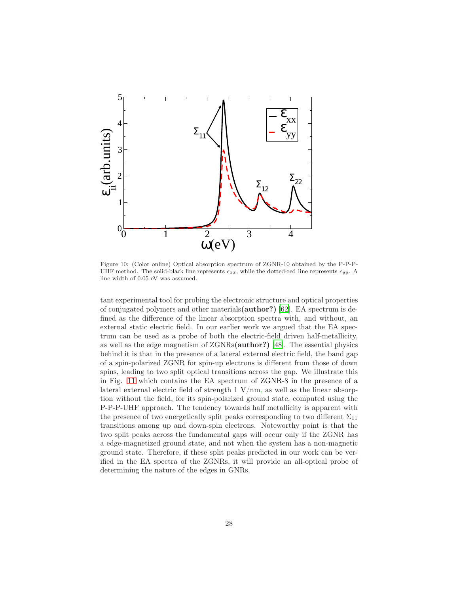

<span id="page-27-0"></span>Figure 10: (Color online) Optical absorption spectrum of ZGNR-10 obtained by the P-P-P-UHF method. The solid-black line represents  $\epsilon_{xx}$ , while the dotted-red line represents  $\epsilon_{yy}$ . A line width of 0.05 eV was assumed.

tant experimental tool for probing the electronic structure and optical properties of conjugated polymers and other materials(author?) [\[62\]](#page-32-5). EA spectrum is defined as the difference of the linear absorption spectra with, and without, an external static electric field. In our earlier work we argued that the EA spectrum can be used as a probe of both the electric-field driven half-metallicity, as well as the edge magnetism of ZGNRs(author?) [\[48](#page-31-14)]. The essential physics behind it is that in the presence of a lateral external electric field, the band gap of a spin-polarized ZGNR for spin-up electrons is different from those of down spins, leading to two split optical transitions across the gap. We illustrate this in Fig. [11](#page-28-1) which contains the EA spectrum of ZGNR-8 in the presence of a lateral external electric field of strength  $1 \text{ V/mm}$ , as well as the linear absorption without the field, for its spin-polarized ground state, computed using the P-P-P-UHF approach. The tendency towards half metallicity is apparent with the presence of two energetically split peaks corresponding to two different  $\Sigma_{11}$ transitions among up and down-spin electrons. Noteworthy point is that the two split peaks across the fundamental gaps will occur only if the ZGNR has a edge-magnetized ground state, and not when the system has a non-magnetic ground state. Therefore, if these split peaks predicted in our work can be verified in the EA spectra of the ZGNRs, it will provide an all-optical probe of determining the nature of the edges in GNRs.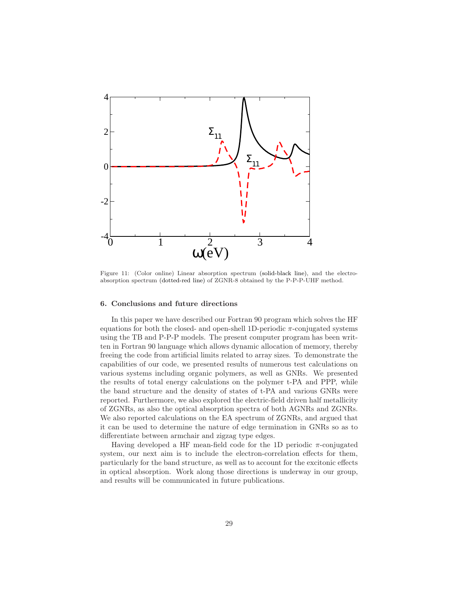

<span id="page-28-1"></span>Figure 11: (Color online) Linear absorption spectrum (solid-black line), and the electroabsorption spectrum (dotted-red line) of ZGNR-8 obtained by the P-P-P-UHF method.

## <span id="page-28-0"></span>6. Conclusions and future directions

In this paper we have described our Fortran 90 program which solves the HF equations for both the closed- and open-shell 1D-periodic  $\pi$ -conjugated systems using the TB and P-P-P models. The present computer program has been written in Fortran 90 language which allows dynamic allocation of memory, thereby freeing the code from artificial limits related to array sizes. To demonstrate the capabilities of our code, we presented results of numerous test calculations on various systems including organic polymers, as well as GNRs. We presented the results of total energy calculations on the polymer t-PA and PPP, while the band structure and the density of states of t-PA and various GNRs were reported. Furthermore, we also explored the electric-field driven half metallicity of ZGNRs, as also the optical absorption spectra of both AGNRs and ZGNRs. We also reported calculations on the EA spectrum of ZGNRs, and argued that it can be used to determine the nature of edge termination in GNRs so as to differentiate between armchair and zigzag type edges.

Having developed a HF mean-field code for the 1D periodic  $\pi$ -conjugated system, our next aim is to include the electron-correlation effects for them, particularly for the band structure, as well as to account for the excitonic effects in optical absorption. Work along those directions is underway in our group, and results will be communicated in future publications.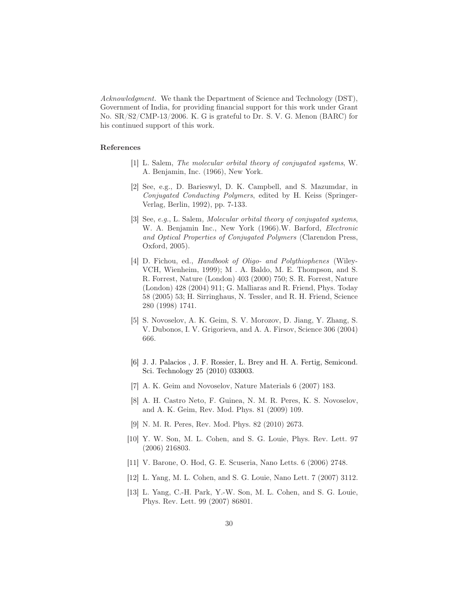*Acknowledgment.* We thank the Department of Science and Technology (DST), Government of India, for providing financial support for this work under Grant No. SR/S2/CMP-13/2006. K. G is grateful to Dr. S. V. G. Menon (BARC) for his continued support of this work.

## References

- <span id="page-29-0"></span>[1] L. Salem, *The molecular orbital theory of conjugated systems*, W. A. Benjamin, Inc. (1966), New York.
- <span id="page-29-1"></span>[2] See, e.g., D. Barieswyl, D. K. Campbell, and S. Mazumdar, in *Conjugated Conducting Polymers*, edited by H. Keiss (Springer-Verlag, Berlin, 1992), pp. 7-133.
- <span id="page-29-2"></span>[3] See, *e.g.*, L. Salem*, Molecular orbital theory of conjugated systems*, W. A. Benjamin Inc., New York (1966).W. Barford, *Electronic and Optical Properties of Conjugated Polymers* (Clarendon Press, Oxford, 2005).
- <span id="page-29-3"></span>[4] D. Fichou, ed., *Handbook of Oligo- and Polythiophenes* (Wiley-VCH, Wienheim, 1999); M . A. Baldo, M. E. Thompson, and S. R. Forrest, Nature (London) 403 (2000) 750; S. R. Forrest, Nature (London) 428 (2004) 911; G. Malliaras and R. Friend, Phys. Today 58 (2005) 53; H. Sirringhaus, N. Tessler, and R. H. Friend, Science 280 (1998) 1741.
- <span id="page-29-4"></span>[5] S. Novoselov, A. K. Geim, S. V. Morozov, D. Jiang, Y. Zhang, S. V. Dubonos, I. V. Grigorieva, and A. A. Firsov, Science 306 (2004) 666.
- <span id="page-29-5"></span>[6] J. J. Palacios , J. F. Rossier, L. Brey and H. A. Fertig, Semicond. Sci. Technology 25 (2010) 033003.
- <span id="page-29-6"></span>[7] A. K. Geim and Novoselov, Nature Materials 6 (2007) 183.
- <span id="page-29-7"></span>[8] A. H. Castro Neto, F. Guinea, N. M. R. Peres, K. S. Novoselov, and A. K. Geim, Rev. Mod. Phys. 81 (2009) 109.
- <span id="page-29-8"></span>[9] N. M. R. Peres, Rev. Mod. Phys. 82 (2010) 2673.
- <span id="page-29-9"></span>[10] Y. W. Son, M. L. Cohen, and S. G. Louie, Phys. Rev. Lett. 97 (2006) 216803.
- <span id="page-29-10"></span>[11] V. Barone, O. Hod, G. E. Scuseria, Nano Letts. 6 (2006) 2748.
- <span id="page-29-11"></span>[12] L. Yang, M. L. Cohen, and S. G. Louie, Nano Lett. 7 (2007) 3112.
- <span id="page-29-12"></span>[13] L. Yang, C.-H. Park, Y.-W. Son, M. L. Cohen, and S. G. Louie, Phys. Rev. Lett. 99 (2007) 86801.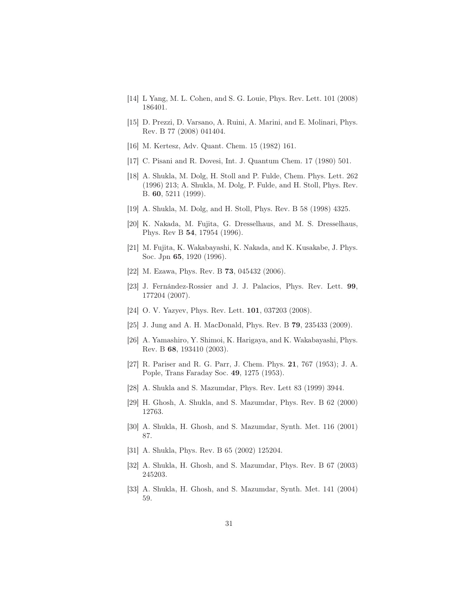- <span id="page-30-0"></span>[14] L Yang, M. L. Cohen, and S. G. Louie, Phys. Rev. Lett. 101 (2008) 186401.
- <span id="page-30-1"></span>[15] D. Prezzi, D. Varsano, A. Ruini, A. Marini, and E. Molinari, Phys. Rev. B 77 (2008) 041404.
- <span id="page-30-2"></span>[16] M. Kertesz, Adv. Quant. Chem. 15 (1982) 161.
- <span id="page-30-3"></span>[17] C. Pisani and R. Dovesi, Int. J. Quantum Chem. 17 (1980) 501.
- <span id="page-30-4"></span>[18] A. Shukla, M. Dolg, H. Stoll and P. Fulde, Chem. Phys. Lett. 262 (1996) 213; A. Shukla, M. Dolg, P. Fulde, and H. Stoll, Phys. Rev. B. 60, 5211 (1999).
- <span id="page-30-5"></span>[19] A. Shukla, M. Dolg, and H. Stoll, Phys. Rev. B 58 (1998) 4325.
- <span id="page-30-6"></span>[20] K. Nakada, M. Fujita, G. Dresselhaus, and M. S. Dresselhaus, Phys. Rev B 54, 17954 (1996).
- <span id="page-30-7"></span>[21] M. Fujita, K. Wakabayashi, K. Nakada, and K. Kusakabe, J. Phys. Soc. Jpn 65, 1920 (1996).
- <span id="page-30-8"></span>[22] M. Ezawa, Phys. Rev. B 73, 045432 (2006).
- <span id="page-30-9"></span>[23] J. Fernández-Rossier and J. J. Palacios, Phys. Rev. Lett. 99, 177204 (2007).
- <span id="page-30-10"></span>[24] O. V. Yazyev, Phys. Rev. Lett. 101, 037203 (2008).
- <span id="page-30-11"></span>[25] J. Jung and A. H. MacDonald, Phys. Rev. B 79, 235433 (2009).
- <span id="page-30-12"></span>[26] A. Yamashiro, Y. Shimoi, K. Harigaya, and K. Wakabayashi, Phys. Rev. B 68, 193410 (2003).
- <span id="page-30-13"></span>[27] R. Pariser and R. G. Parr, J. Chem. Phys. 21, 767 (1953); J. A. Pople, Trans Faraday Soc. 49, 1275 (1953).
- <span id="page-30-14"></span>[28] A. Shukla and S. Mazumdar, Phys. Rev. Lett 83 (1999) 3944.
- <span id="page-30-15"></span>[29] H. Ghosh, A. Shukla, and S. Mazumdar, Phys. Rev. B 62 (2000) 12763.
- <span id="page-30-16"></span>[30] A. Shukla, H. Ghosh, and S. Mazumdar, Synth. Met. 116 (2001) 87.
- <span id="page-30-17"></span>[31] A. Shukla, Phys. Rev. B 65 (2002) 125204.
- <span id="page-30-18"></span>[32] A. Shukla, H. Ghosh, and S. Mazumdar, Phys. Rev. B 67 (2003) 245203.
- <span id="page-30-19"></span>[33] A. Shukla, H. Ghosh, and S. Mazumdar, Synth. Met. 141 (2004) 59.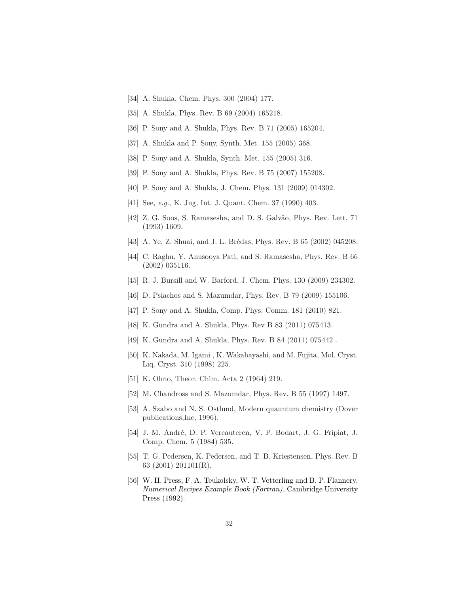- <span id="page-31-0"></span>[34] A. Shukla, Chem. Phys. 300 (2004) 177.
- <span id="page-31-1"></span>[35] A. Shukla, Phys. Rev. B 69 (2004) 165218.
- <span id="page-31-2"></span>[36] P. Sony and A. Shukla, Phys. Rev. B 71 (2005) 165204.
- <span id="page-31-3"></span>[37] A. Shukla and P. Sony, Synth. Met. 155 (2005) 368.
- <span id="page-31-4"></span>[38] P. Sony and A. Shukla, Synth. Met. 155 (2005) 316.
- <span id="page-31-5"></span>[39] P. Sony and A. Shukla, Phys. Rev. B 75 (2007) 155208.
- <span id="page-31-6"></span>[40] P. Sony and A. Shukla, J. Chem. Phys. 131 (2009) 014302.
- <span id="page-31-7"></span>[41] See, *e.g.*, K. Jug, Int. J. Quant. Chem. 37 (1990) 403.
- <span id="page-31-8"></span>[42] Z. G. Soos, S. Ramasesha, and D. S. Galvão, Phys. Rev. Lett. 71 (1993) 1609.
- <span id="page-31-9"></span>[43] A. Ye, Z. Shuai, and J. L. Brédas, Phys. Rev. B 65 (2002) 045208.
- <span id="page-31-10"></span>[44] C. Raghu, Y. Anusooya Pati, and S. Ramasesha, Phys. Rev. B 66 (2002) 035116.
- <span id="page-31-11"></span>[45] R. J. Bursill and W. Barford, J. Chem. Phys. 130 (2009) 234302.
- <span id="page-31-12"></span>[46] D. Psiachos and S. Mazumdar, Phys. Rev. B 79 (2009) 155106.
- <span id="page-31-13"></span>[47] P. Sony and A. Shukla, Comp. Phys. Comm. 181 (2010) 821.
- <span id="page-31-14"></span>[48] K. Gundra and A. Shukla, Phys. Rev B 83 (2011) 075413.
- <span id="page-31-15"></span>[49] K. Gundra and A. Shukla, Phys. Rev. B 84 (2011) 075442 .
- <span id="page-31-16"></span>[50] K. Nakada, M. Igami , K. Wakabayashi, and M. Fujita, Mol. Cryst. Liq. Cryst. 310 (1998) 225.
- <span id="page-31-17"></span>[51] K. Ohno, Theor. Chim. Acta 2 (1964) 219.
- <span id="page-31-18"></span>[52] M. Chandross and S. Mazumdar, Phys. Rev. B 55 (1997) 1497.
- <span id="page-31-19"></span>[53] A. Szabo and N. S. Ostlund, Modern quauntum chemistry (Dover publications,Inc, 1996).
- <span id="page-31-20"></span>[54] J. M. André, D. P. Vercauteren, V. P. Bodart, J. G. Fripiat, J. Comp. Chem. 5 (1984) 535.
- <span id="page-31-21"></span>[55] T. G. Pedersen, K. Pedersen, and T. B. Kriestensen, Phys. Rev. B 63 (2001) 201101(R).
- <span id="page-31-22"></span>[56] W. H. Press, F. A. Teukolsky, W. T. Vetterling and B. P. Flannery, *Numerical Recipes Example Book (Fortran)*, Cambridge University Press (1992).